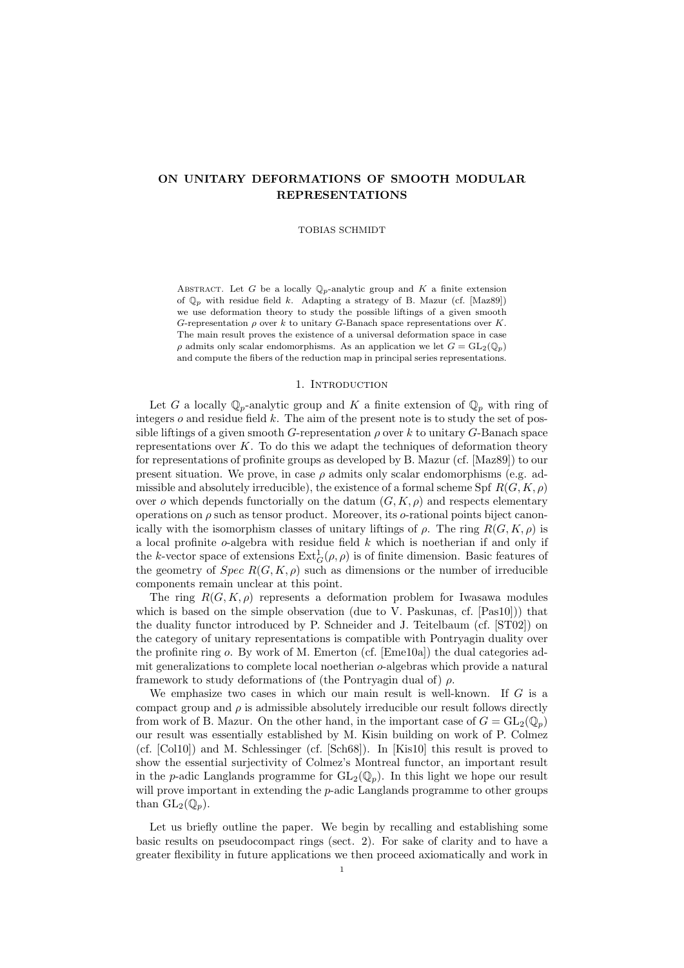## ON UNITARY DEFORMATIONS OF SMOOTH MODULAR REPRESENTATIONS

#### TOBIAS SCHMIDT

ABSTRACT. Let G be a locally  $\mathbb{Q}_p$ -analytic group and K a finite extension of  $\mathbb{Q}_p$  with residue field k. Adapting a strategy of B. Mazur (cf. [Maz89]) we use deformation theory to study the possible liftings of a given smooth G-representation  $\rho$  over k to unitary G-Banach space representations over K. The main result proves the existence of a universal deformation space in case  $\rho$  admits only scalar endomorphisms. As an application we let  $G = GL_2(\mathbb{Q}_p)$ and compute the fibers of the reduction map in principal series representations.

## 1. INTRODUCTION

Let G a locally  $\mathbb{Q}_p$ -analytic group and K a finite extension of  $\mathbb{Q}_p$  with ring of integers  $o$  and residue field  $k$ . The aim of the present note is to study the set of possible liftings of a given smooth G-representation  $\rho$  over k to unitary G-Banach space representations over  $K$ . To do this we adapt the techniques of deformation theory for representations of profinite groups as developed by B. Mazur (cf. [Maz89]) to our present situation. We prove, in case  $\rho$  admits only scalar endomorphisms (e.g. admissible and absolutely irreducible), the existence of a formal scheme Spf  $R(G, K, \rho)$ over o which depends functorially on the datum  $(G, K, \rho)$  and respects elementary operations on  $\rho$  such as tensor product. Moreover, its  $\sigma$ -rational points biject canonically with the isomorphism classes of unitary liftings of  $\rho$ . The ring  $R(G, K, \rho)$  is a local profinite  $o$ -algebra with residue field  $k$  which is noetherian if and only if the k-vector space of extensions  $\text{Ext}_G^1(\rho, \rho)$  is of finite dimension. Basic features of the geometry of  $Spec R(G, K, \rho)$  such as dimensions or the number of irreducible components remain unclear at this point.

The ring  $R(G, K, \rho)$  represents a deformation problem for Iwasawa modules which is based on the simple observation (due to V. Paskunas, cf. [Pas10])) that the duality functor introduced by P. Schneider and J. Teitelbaum (cf. [ST02]) on the category of unitary representations is compatible with Pontryagin duality over the profinite ring o. By work of M. Emerton (cf. [Eme10a]) the dual categories admit generalizations to complete local noetherian o-algebras which provide a natural framework to study deformations of (the Pontryagin dual of)  $\rho$ .

We emphasize two cases in which our main result is well-known. If  $G$  is a compact group and  $\rho$  is admissible absolutely irreducible our result follows directly from work of B. Mazur. On the other hand, in the important case of  $G = GL_2(\mathbb{Q}_p)$ our result was essentially established by M. Kisin building on work of P. Colmez (cf. [Col10]) and M. Schlessinger (cf. [Sch68]). In [Kis10] this result is proved to show the essential surjectivity of Colmez's Montreal functor, an important result in the p-adic Langlands programme for  $GL_2(\mathbb{Q}_p)$ . In this light we hope our result will prove important in extending the  $p$ -adic Langlands programme to other groups than  $\mathrm{GL}_2(\mathbb{Q}_p)$ .

Let us briefly outline the paper. We begin by recalling and establishing some basic results on pseudocompact rings (sect. 2). For sake of clarity and to have a greater flexibility in future applications we then proceed axiomatically and work in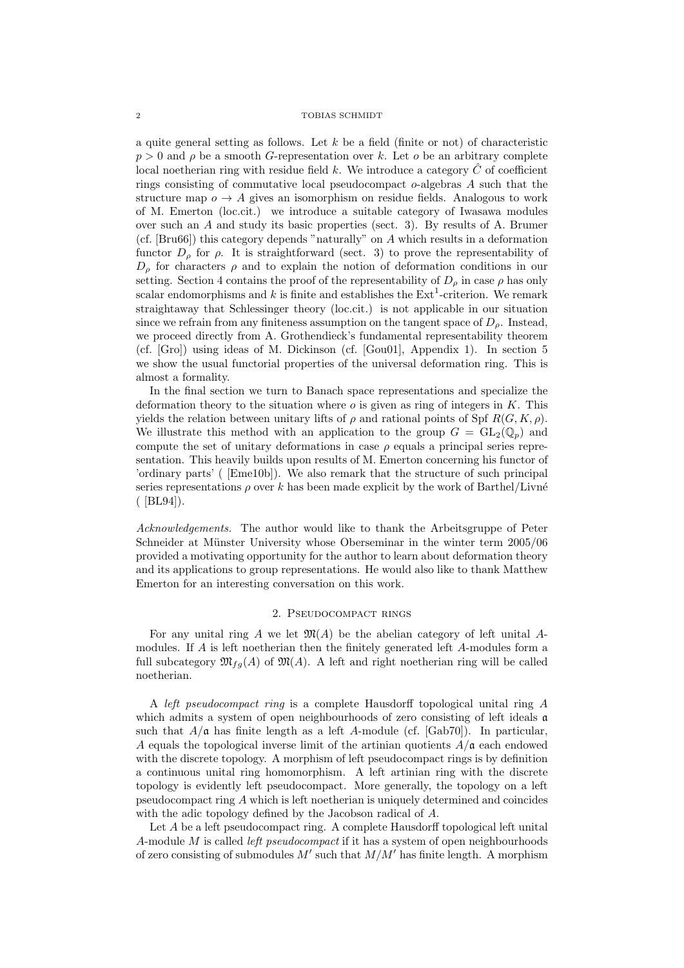a quite general setting as follows. Let  $k$  be a field (finite or not) of characteristic  $p > 0$  and  $\rho$  be a smooth G-representation over k. Let o be an arbitrary complete local noetherian ring with residue field k. We introduce a category  $\ddot{C}$  of coefficient rings consisting of commutative local pseudocompact  $o$ -algebras  $A$  such that the structure map  $o \rightarrow A$  gives an isomorphism on residue fields. Analogous to work of M. Emerton (loc.cit.) we introduce a suitable category of Iwasawa modules over such an A and study its basic properties (sect. 3). By results of A. Brumer (cf. [Bru66]) this category depends "naturally" on A which results in a deformation functor  $D_{\rho}$  for  $\rho$ . It is straightforward (sect. 3) to prove the representability of  $D_{\rho}$  for characters  $\rho$  and to explain the notion of deformation conditions in our setting. Section 4 contains the proof of the representability of  $D_{\rho}$  in case  $\rho$  has only scalar endomorphisms and k is finite and establishes the  $Ext<sup>1</sup>$ -criterion. We remark straightaway that Schlessinger theory (loc.cit.) is not applicable in our situation since we refrain from any finiteness assumption on the tangent space of  $D<sub>o</sub>$ . Instead, we proceed directly from A. Grothendieck's fundamental representability theorem (cf. [Gro]) using ideas of M. Dickinson (cf. [Gou01], Appendix 1). In section 5 we show the usual functorial properties of the universal deformation ring. This is almost a formality.

In the final section we turn to Banach space representations and specialize the deformation theory to the situation where  $o$  is given as ring of integers in  $K$ . This yields the relation between unitary lifts of  $\rho$  and rational points of Spf  $R(G, K, \rho)$ . We illustrate this method with an application to the group  $G = GL_2(\mathbb{Q}_p)$  and compute the set of unitary deformations in case  $\rho$  equals a principal series representation. This heavily builds upon results of M. Emerton concerning his functor of 'ordinary parts' ( [Eme10b]). We also remark that the structure of such principal series representations  $\rho$  over k has been made explicit by the work of Barthel/Livné ( [BL94]).

Acknowledgements. The author would like to thank the Arbeitsgruppe of Peter Schneider at Münster University whose Oberseminar in the winter term  $2005/06$ provided a motivating opportunity for the author to learn about deformation theory and its applications to group representations. He would also like to thank Matthew Emerton for an interesting conversation on this work.

## 2. Pseudocompact rings

For any unital ring A we let  $\mathfrak{M}(A)$  be the abelian category of left unital Amodules. If A is left noetherian then the finitely generated left A-modules form a full subcategory  $\mathfrak{M}_{fq}(A)$  of  $\mathfrak{M}(A)$ . A left and right noetherian ring will be called noetherian.

A left pseudocompact ring is a complete Hausdorff topological unital ring A which admits a system of open neighbourhoods of zero consisting of left ideals **a** such that  $A/\mathfrak{a}$  has finite length as a left A-module (cf. [Gab70]). In particular, A equals the topological inverse limit of the artinian quotients  $A/\mathfrak{a}$  each endowed with the discrete topology. A morphism of left pseudocompact rings is by definition a continuous unital ring homomorphism. A left artinian ring with the discrete topology is evidently left pseudocompact. More generally, the topology on a left pseudocompact ring A which is left noetherian is uniquely determined and coincides with the adic topology defined by the Jacobson radical of A.

Let A be a left pseudocompact ring. A complete Hausdorff topological left unital A-module M is called *left pseudocompact* if it has a system of open neighbourhoods of zero consisting of submodules  $M'$  such that  $M/M'$  has finite length. A morphism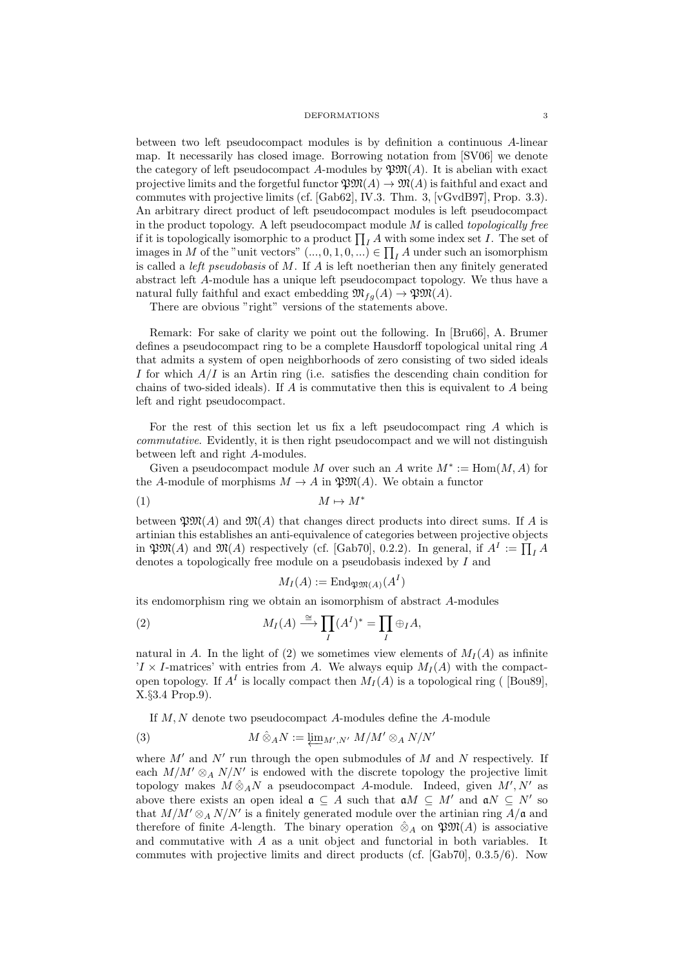between two left pseudocompact modules is by definition a continuous A-linear map. It necessarily has closed image. Borrowing notation from [SV06] we denote the category of left pseudocompact A-modules by  $\mathfrak{P}M(A)$ . It is abelian with exact projective limits and the forgetful functor  $\mathfrak{W}(A) \to \mathfrak{M}(A)$  is faithful and exact and commutes with projective limits (cf. [Gab62], IV.3. Thm. 3, [vGvdB97], Prop. 3.3). An arbitrary direct product of left pseudocompact modules is left pseudocompact in the product topology. A left pseudocompact module  $M$  is called *topologically free* if it is topologically isomorphic to a product  $\prod_{I} A$  with some index set I. The set of images in M of the "unit vectors"  $(...,0,1,0,...) \in \prod_I A$  under such an isomorphism is called a *left pseudobasis* of  $M$ . If  $A$  is left noetherian then any finitely generated abstract left A-module has a unique left pseudocompact topology. We thus have a natural fully faithful and exact embedding  $\mathfrak{M}_{fg}(A) \to \mathfrak{P}\mathfrak{M}(A)$ .

There are obvious "right" versions of the statements above.

Remark: For sake of clarity we point out the following. In [Bru66], A. Brumer defines a pseudocompact ring to be a complete Hausdorff topological unital ring A that admits a system of open neighborhoods of zero consisting of two sided ideals I for which  $A/I$  is an Artin ring (i.e. satisfies the descending chain condition for chains of two-sided ideals). If  $\tilde{A}$  is commutative then this is equivalent to  $\tilde{A}$  being left and right pseudocompact.

For the rest of this section let us fix a left pseudocompact ring A which is commutative. Evidently, it is then right pseudocompact and we will not distinguish between left and right A-modules.

Given a pseudocompact module M over such an A write  $M^* := \text{Hom}(M, A)$  for the A-module of morphisms  $M \to A$  in  $\mathfrak{P} \mathfrak{M}(A)$ . We obtain a functor

$$
(1) \t\t\t M \mapsto M^*
$$

between  $\mathfrak{P}M(A)$  and  $\mathfrak{M}(A)$  that changes direct products into direct sums. If A is artinian this establishes an anti-equivalence of categories between projective objects in  $\mathfrak{PM}(A)$  and  $\mathfrak{M}(A)$  respectively (cf. [Gab70], 0.2.2). In general, if  $A^I := \prod_I A$ denotes a topologically free module on a pseudobasis indexed by I and

$$
M_I(A) := \mathrm{End}_{\mathfrak{P}\mathfrak{M}(A)}(A^I)
$$

its endomorphism ring we obtain an isomorphism of abstract A-modules

(2) 
$$
M_I(A) \stackrel{\cong}{\longrightarrow} \prod_I (A^I)^* = \prod_I \oplus_I A,
$$

natural in A. In the light of (2) we sometimes view elements of  $M_I(A)$  as infinite  $I \times I$ -matrices' with entries from A. We always equip  $M_I(A)$  with the compactopen topology. If  $A<sup>I</sup>$  is locally compact then  $M_I(A)$  is a topological ring ([Bou89], X.§3.4 Prop.9).

If M, N denote two pseudocompact A-modules define the A-module

(3) 
$$
M \hat{\otimes}_A N := \varprojlim_{M',N'} M/M' \otimes_A N/N'
$$

where  $M'$  and  $N'$  run through the open submodules of M and N respectively. If each  $M/M' \otimes_A N/N'$  is endowed with the discrete topology the projective limit topology makes  $M \hat{\otimes}_A N$  a pseudocompact A-module. Indeed, given  $M', N'$  as above there exists an open ideal  $\mathfrak{a} \subseteq A$  such that  $\mathfrak{a}M \subseteq M'$  and  $\mathfrak{a}N \subseteq N'$  so that  $M/M' \otimes_A N/N'$  is a finitely generated module over the artinian ring  $A/\mathfrak{a}$  and therefore of finite A-length. The binary operation  $\hat{\otimes}_A$  on  $\mathfrak{P}M(A)$  is associative and commutative with A as a unit object and functorial in both variables. It commutes with projective limits and direct products (cf. [Gab70], 0.3.5/6). Now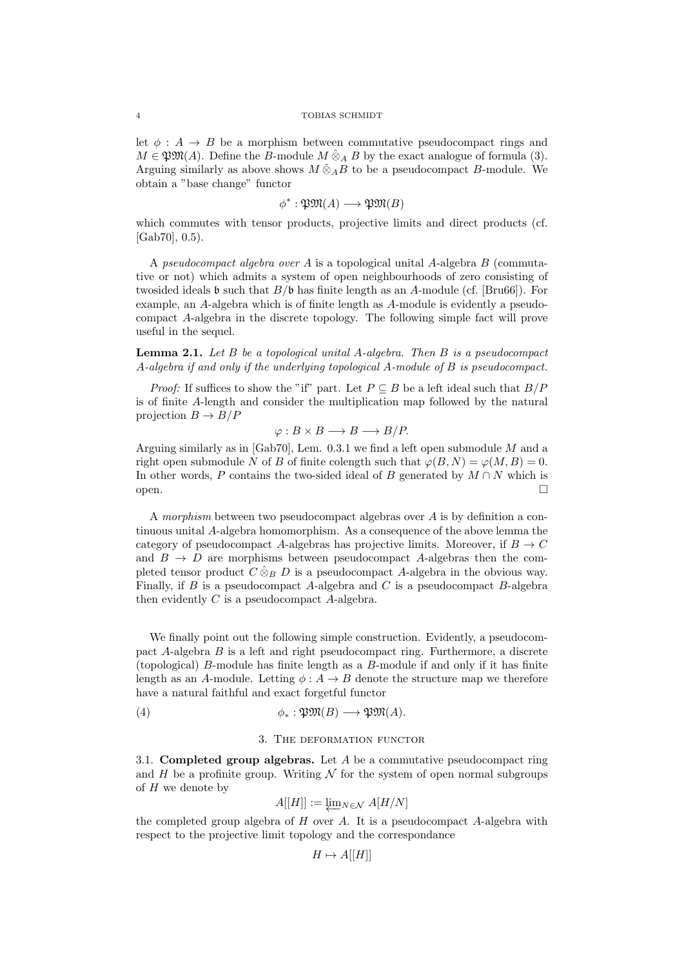let  $\phi : A \rightarrow B$  be a morphism between commutative pseudocompact rings and  $M \in \mathfrak{P} \mathfrak{M}(A)$ . Define the B-module  $M \hat{\otimes}_A B$  by the exact analogue of formula (3). Arguing similarly as above shows  $M \hat{\otimes}_A B$  to be a pseudocompact B-module. We obtain a "base change" functor

$$
\phi^* : \mathfrak{P}\mathfrak{M}(A) \longrightarrow \mathfrak{P}\mathfrak{M}(B)
$$

which commutes with tensor products, projective limits and direct products (cf. [Gab70], 0.5).

A pseudocompact algebra over A is a topological unital A-algebra B (commutative or not) which admits a system of open neighbourhoods of zero consisting of twosided ideals **b** such that  $B/\mathfrak{b}$  has finite length as an A-module (cf. [Bru66]). For example, an A-algebra which is of finite length as A-module is evidently a pseudocompact A-algebra in the discrete topology. The following simple fact will prove useful in the sequel.

**Lemma 2.1.** Let  $B$  be a topological unital  $A$ -algebra. Then  $B$  is a pseudocompact A-algebra if and only if the underlying topological A-module of B is pseudocompact.

*Proof:* If suffices to show the "if" part. Let  $P \subseteq B$  be a left ideal such that  $B/P$ is of finite A-length and consider the multiplication map followed by the natural projection  $B \to B/P$ 

$$
\varphi: B \times B \longrightarrow B \longrightarrow B/P.
$$

Arguing similarly as in [Gab70], Lem.  $0.3.1$  we find a left open submodule M and a right open submodule N of B of finite colength such that  $\varphi(B, N) = \varphi(M, B) = 0$ . In other words, P contains the two-sided ideal of B generated by  $M \cap N$  which is open.

A morphism between two pseudocompact algebras over A is by definition a continuous unital A-algebra homomorphism. As a consequence of the above lemma the category of pseudocompact A-algebras has projective limits. Moreover, if  $B \to C$ and  $B \to D$  are morphisms between pseudocompact A-algebras then the completed tensor product  $C \hat{\otimes}_B D$  is a pseudocompact A-algebra in the obvious way. Finally, if B is a pseudocompact A-algebra and C is a pseudocompact B-algebra then evidently  $C$  is a pseudocompact  $A$ -algebra.

We finally point out the following simple construction. Evidently, a pseudocompact A-algebra B is a left and right pseudocompact ring. Furthermore, a discrete (topological) B-module has finite length as a B-module if and only if it has finite length as an A-module. Letting  $\phi : A \to B$  denote the structure map we therefore have a natural faithful and exact forgetful functor

(4) 
$$
\phi_*: \mathfrak{P}\mathfrak{M}(B) \longrightarrow \mathfrak{P}\mathfrak{M}(A).
$$

## 3. The deformation functor

3.1. Completed group algebras. Let  $A$  be a commutative pseudocompact ring and H be a profinite group. Writing  $\mathcal N$  for the system of open normal subgroups of  $H$  we denote by

$$
A[[H]] := \underleftarrow{\lim}_{N \in \mathcal{N}} A[H/N]
$$

the completed group algebra of  $H$  over  $A$ . It is a pseudocompact  $A$ -algebra with respect to the projective limit topology and the correspondance

$$
H \mapsto A[[H]]
$$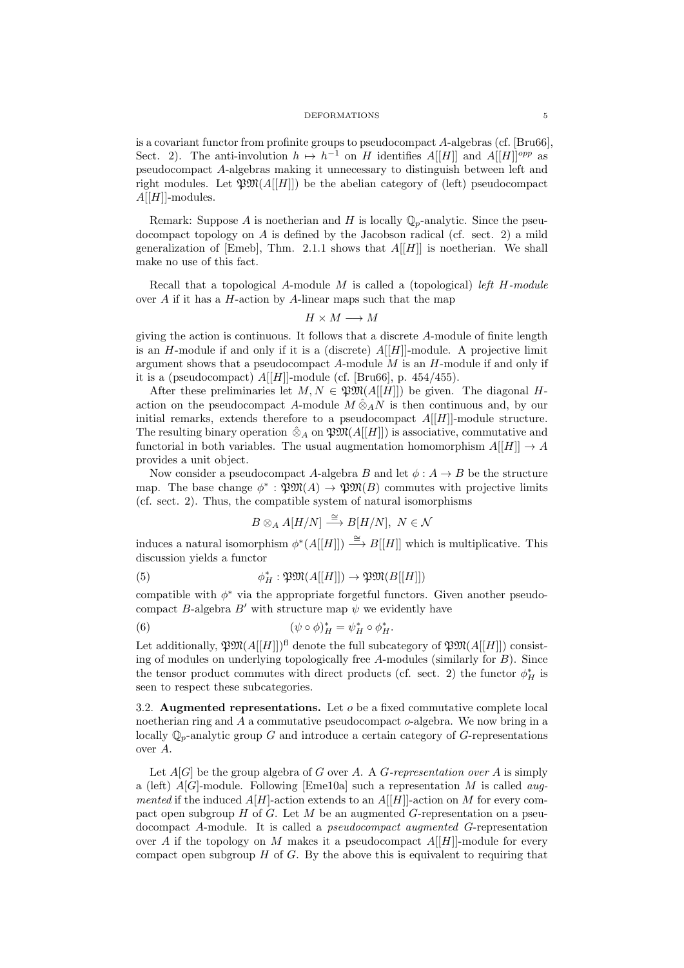is a covariant functor from profinite groups to pseudocompact A-algebras (cf. [Bru66], Sect. 2). The anti-involution  $h \mapsto h^{-1}$  on H identifies  $A[[H]]$  and  $A[[H]]^{opp}$  as pseudocompact A-algebras making it unnecessary to distinguish between left and right modules. Let  $\mathfrak{W}(A[[H]])$  be the abelian category of (left) pseudocompact  $A[[H]]$ -modules.

Remark: Suppose A is noetherian and H is locally  $\mathbb{Q}_p$ -analytic. Since the pseudocompact topology on A is defined by the Jacobson radical (cf. sect. 2) a mild generalization of [Emeb], Thm. 2.1.1 shows that  $A[[H]]$  is noetherian. We shall make no use of this fact.

Recall that a topological A-module  $M$  is called a (topological) left  $H$ -module over A if it has a  $H$ -action by A-linear maps such that the map

$$
H\times M\longrightarrow M
$$

giving the action is continuous. It follows that a discrete A-module of finite length is an H-module if and only if it is a (discrete)  $A[[H]]$ -module. A projective limit argument shows that a pseudocompact  $A$ -module  $M$  is an  $H$ -module if and only if it is a (pseudocompact)  $A[[H]]$ -module (cf. [Bru66], p. 454/455).

After these preliminaries let  $M, N \in \mathfrak{P} \mathfrak{M}(A[[H]])$  be given. The diagonal Haction on the pseudocompact A-module  $M \hat{\otimes}_A N$  is then continuous and, by our initial remarks, extends therefore to a pseudocompact  $A[[H]]$ -module structure. The resulting binary operation  $\hat{\otimes}_A$  on  $\mathfrak{P}M(A[[H]])$  is associative, commutative and functorial in both variables. The usual augmentation homomorphism  $A[[H]] \rightarrow A$ provides a unit object.

Now consider a pseudocompact A-algebra B and let  $\phi: A \rightarrow B$  be the structure map. The base change  $\phi^* : \mathfrak{P} \mathfrak{M}(A) \to \mathfrak{P} \mathfrak{M}(B)$  commutes with projective limits (cf. sect. 2). Thus, the compatible system of natural isomorphisms

$$
B\otimes_A A[H/N] \stackrel{\cong}{\longrightarrow} B[H/N], N \in \mathcal{N}
$$

induces a natural isomorphism  $\phi^*(A[[H]]) \stackrel{\cong}{\longrightarrow} B[[H]]$  which is multiplicative. This discussion yields a functor

(5) 
$$
\phi_H^* : \mathfrak{P}\mathfrak{M}(A[[H]]) \to \mathfrak{P}\mathfrak{M}(B[[H]])
$$

compatible with  $\phi^*$  via the appropriate forgetful functors. Given another pseudocompact B-algebra B' with structure map  $\psi$  we evidently have

(6) 
$$
(\psi \circ \phi)_H^* = \psi_H^* \circ \phi_H^*.
$$

Let additionally,  $\mathfrak{P} \mathfrak{M}(A[[H]])$ <sup>fl</sup> denote the full subcategory of  $\mathfrak{P} \mathfrak{M}(A[[H]])$  consisting of modules on underlying topologically free A-modules (similarly for B). Since the tensor product commutes with direct products (cf. sect. 2) the functor  $\phi_H^*$  is seen to respect these subcategories.

3.2. Augmented representations. Let  $o$  be a fixed commutative complete local noetherian ring and A a commutative pseudocompact o-algebra. We now bring in a locally  $\mathbb{Q}_p$ -analytic group G and introduce a certain category of G-representations over A.

Let  $A[G]$  be the group algebra of G over A. A G-representation over A is simply a (left)  $A[G]$ -module. Following [Eme10a] such a representation M is called *aug*mented if the induced  $A[H]$ -action extends to an  $A[[H]]$ -action on M for every compact open subgroup  $H$  of  $G$ . Let  $M$  be an augmented  $G$ -representation on a pseudocompact A-module. It is called a pseudocompact augmented G-representation over A if the topology on M makes it a pseudocompact  $A[[H]]$ -module for every compact open subgroup  $H$  of  $G$ . By the above this is equivalent to requiring that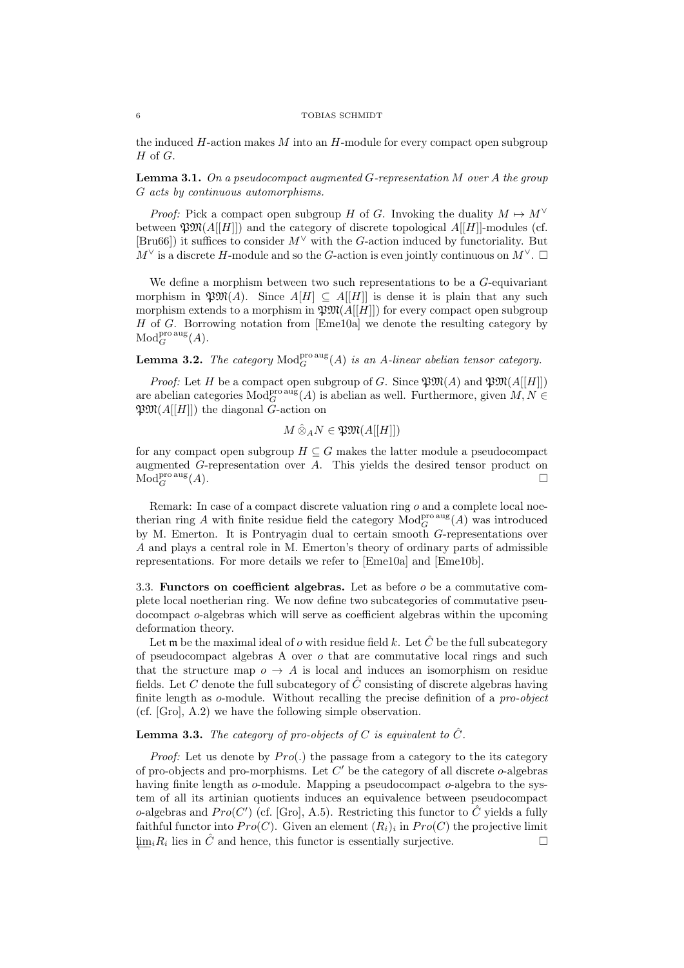#### 6 TOBIAS SCHMIDT

the induced  $H$ -action makes  $M$  into an  $H$ -module for every compact open subgroup  $H$  of  $G$ .

**Lemma 3.1.** On a pseudocompact augmented G-representation  $M$  over  $A$  the group G acts by continuous automorphisms.

*Proof:* Pick a compact open subgroup H of G. Invoking the duality  $M \mapsto M^{\vee}$ between  $\mathfrak{P}(\mathcal{M}[H]])$  and the category of discrete topological  $\mathcal{A}[[H]]$ -modules (cf. [Bru66]) it suffices to consider  $M^{\vee}$  with the G-action induced by functoriality. But  $M^{\vee}$  is a discrete H-module and so the G-action is even jointly continuous on  $M^{\vee}$ .  $\square$ 

We define a morphism between two such representations to be a  $G$ -equivariant morphism in  $\mathfrak{P}^{\mathfrak{M}}(A)$ . Since  $A[H] \subseteq A[[H]]$  is dense it is plain that any such morphism extends to a morphism in  $\mathfrak{P}M(A[[H]])$  for every compact open subgroup H of G. Borrowing notation from [Eme10a] we denote the resulting category by  $\mathop{\rm Mod}\nolimits^{\rm pro\,aug}_G(A).$ 

# **Lemma 3.2.** The category  $\text{Mod}_{G}^{\text{pro aus}}(A)$  is an A-linear abelian tensor category.

*Proof:* Let H be a compact open subgroup of G. Since  $\mathfrak{P}M(A)$  and  $\mathfrak{P}M(A[[H]])$ are abelian categories  $Mod_G^{\text{pro aug}}(A)$  is abelian as well. Furthermore, given  $M, N \in$  $\mathfrak{P}\mathfrak{M}(A[[H]])$  the diagonal G-action on

$$
M \hat{\otimes}_A N \in \mathfrak{P} \mathfrak{M}(A[[H]])
$$

for any compact open subgroup  $H \subseteq G$  makes the latter module a pseudocompact augmented G-representation over A. This yields the desired tensor product on  $\mathrm{Mod}^{\mathrm{pro\,aug}}_G(A).$ 

Remark: In case of a compact discrete valuation ring  $o$  and a complete local noetherian ring A with finite residue field the category  $Mod_G^{\text{pro\,aug}}(A)$  was introduced by M. Emerton. It is Pontryagin dual to certain smooth G-representations over A and plays a central role in M. Emerton's theory of ordinary parts of admissible representations. For more details we refer to [Eme10a] and [Eme10b].

3.3. Functors on coefficient algebras. Let as before  $o$  be a commutative complete local noetherian ring. We now define two subcategories of commutative pseudocompact o-algebras which will serve as coefficient algebras within the upcoming deformation theory.

Let  $\mathfrak m$  be the maximal ideal of  $o$  with residue field  $k$ . Let  $\hat C$  be the full subcategory of pseudocompact algebras A over  $o$  that are commutative local rings and such that the structure map  $o \rightarrow A$  is local and induces an isomorphism on residue fields. Let C denote the full subcategory of  $\hat{C}$  consisting of discrete algebras having finite length as o-module. Without recalling the precise definition of a pro-object (cf. [Gro], A.2) we have the following simple observation.

## **Lemma 3.3.** The category of pro-objects of C is equivalent to  $\hat{C}$ .

*Proof:* Let us denote by  $Pro(.)$  the passage from a category to the its category of pro-objects and pro-morphisms. Let  $C'$  be the category of all discrete o-algebras having finite length as  $o$ -module. Mapping a pseudocompact  $o$ -algebra to the system of all its artinian quotients induces an equivalence between pseudocompact o-algebras and  $Pro(C')$  (cf. [Gro], A.5). Restricting this functor to  $\hat{C}$  yields a fully faithful functor into  $Pro(C)$ . Given an element  $(R_i)_i$  in  $Pro(C)$  the projective limit  $\downarrow \text{im}_i R_i$  lies in  $\hat{C}$  and hence, this functor is essentially surjective.  $□$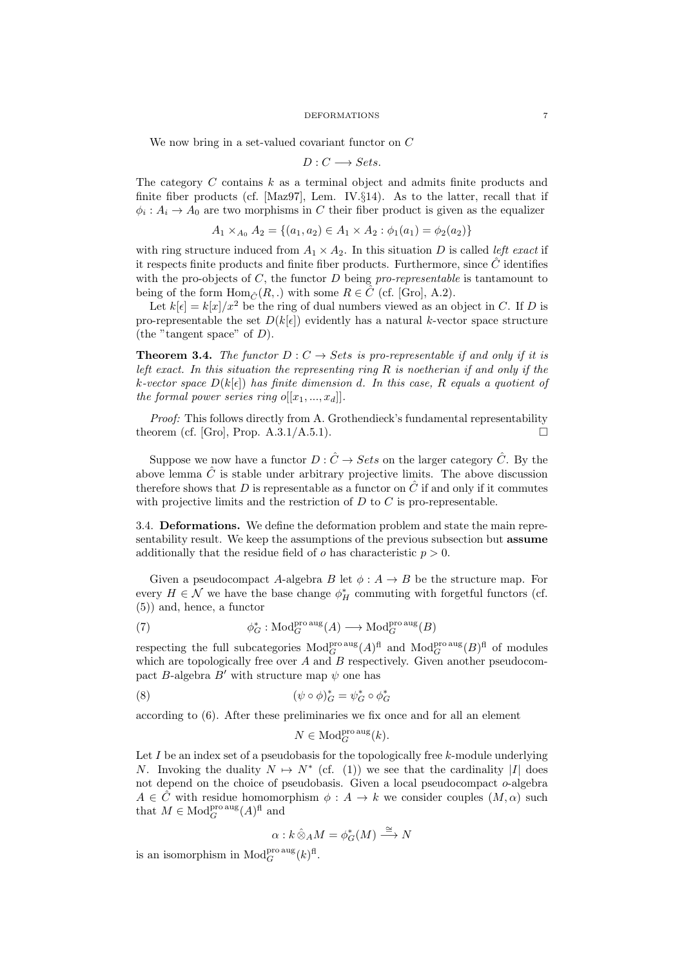We now bring in a set-valued covariant functor on C

$$
D: C \longrightarrow Sets.
$$

The category  $C$  contains  $k$  as a terminal object and admits finite products and finite fiber products (cf.  $[\text{Maz97}]$ , Lem. IV. $\S$ 14). As to the latter, recall that if  $\phi_i: A_i \to A_0$  are two morphisms in C their fiber product is given as the equalizer

$$
A_1 \times_{A_0} A_2 = \{(a_1, a_2) \in A_1 \times A_2 : \phi_1(a_1) = \phi_2(a_2)\}
$$

with ring structure induced from  $A_1 \times A_2$ . In this situation D is called *left exact* if it respects finite products and finite fiber products. Furthermore, since  $\hat{C}$  identifies with the pro-objects of  $C$ , the functor  $D$  being pro-representable is tantamount to being of the form  $\text{Hom}_{\hat{C}}(R,.)$  with some  $R \in \hat{C}$  (cf. [Gro], A.2).

Let  $k[\epsilon] = k[x]/x^2$  be the ring of dual numbers viewed as an object in C. If D is pro-representable the set  $D(k[\epsilon])$  evidently has a natural k-vector space structure (the "tangent space" of  $D$ ).

**Theorem 3.4.** The functor  $D: C \to Sets$  is pro-representable if and only if it is left exact. In this situation the representing ring  $R$  is noetherian if and only if the k-vector space  $D(k[\epsilon])$  has finite dimension d. In this case, R equals a quotient of the formal power series ring  $o[[x_1, ..., x_d]]$ .

Proof: This follows directly from A. Grothendieck's fundamental representability theorem (cf. [Gro], Prop.  $A.3.1/A.5.1$ ).

Suppose we now have a functor  $D: \hat{C} \to Sets$  on the larger category  $\hat{C}$ . By the above lemma  $\hat{C}$  is stable under arbitrary projective limits. The above discussion therefore shows that D is representable as a functor on  $\hat{C}$  if and only if it commutes with projective limits and the restriction of  $D$  to  $C$  is pro-representable.

3.4. Deformations. We define the deformation problem and state the main representability result. We keep the assumptions of the previous subsection but assume additionally that the residue field of  $o$  has characteristic  $p > 0$ .

Given a pseudocompact A-algebra B let  $\phi: A \to B$  be the structure map. For every  $H \in \mathcal{N}$  we have the base change  $\phi_H^*$  commuting with forgetful functors (cf. (5)) and, hence, a functor

(7) 
$$
\phi_G^* : \text{Mod}_G^{\text{pro aus}}(A) \longrightarrow \text{Mod}_G^{\text{pro aus}}(B)
$$

respecting the full subcategories  $\text{Mod}_{G}^{\text{pro\,aug}}(A)^{\text{fl}}$  and  $\text{Mod}_{G}^{\text{pro\,aug}}(B)^{\text{fl}}$  of modules which are topologically free over  $A$  and  $B$  respectively. Given another pseudocompact  $B\text{-algebra }B'$  with structure map  $\psi$  one has

(8) 
$$
(\psi \circ \phi)^*_{G} = \psi^*_{G} \circ \phi^*_{G}
$$

according to (6). After these preliminaries we fix once and for all an element

$$
N \in \mathrm{Mod}_G^{\mathrm{pro\,aug}}(k).
$$

Let  $I$  be an index set of a pseudobasis for the topologically free  $k$ -module underlying N. Invoking the duality  $N \mapsto N^*$  (cf. (1)) we see that the cardinality |I| does not depend on the choice of pseudobasis. Given a local pseudocompact  $o$ -algebra  $A \in \hat{C}$  with residue homomorphism  $\phi : A \to k$  we consider couples  $(M, \alpha)$  such that  $M \in \text{Mod}_G^{\text{pro aug}}(A)^{\text{fl}}$  and

$$
\alpha:k\,\hat{\otimes}_A M=\phi_G^*(M)\stackrel{\cong}{\longrightarrow} N
$$

is an isomorphism in  $\text{Mod}_G^{\text{pro aug}}(k)^{\text{fl}}$ .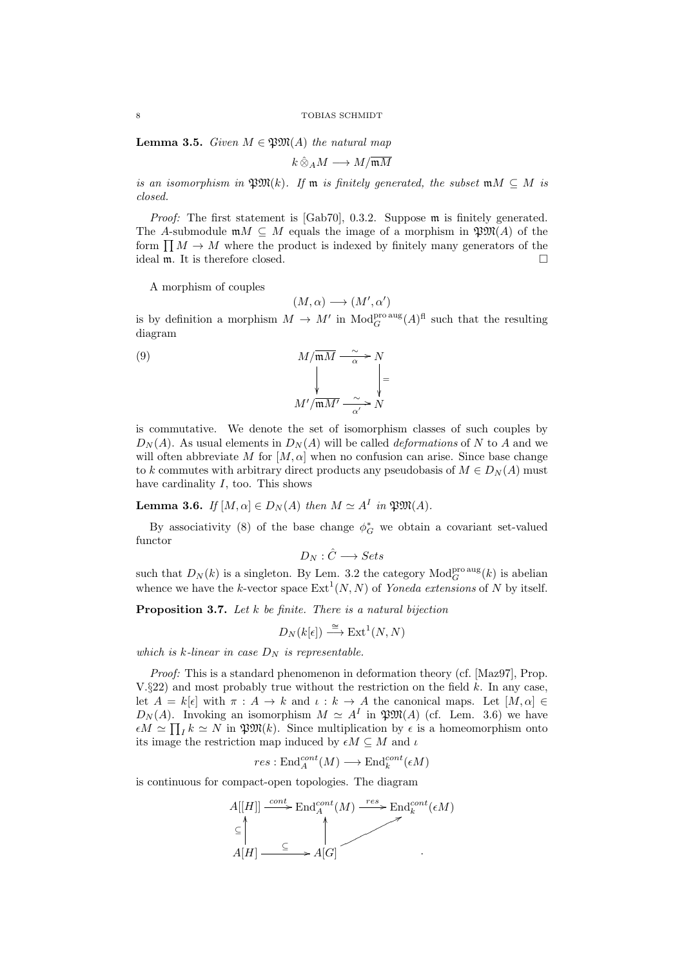**Lemma 3.5.** Given  $M \in \mathfrak{P}M(A)$  the natural map

$$
k\,\hat{\otimes}_A M\longrightarrow M/\overline{\mathfrak{m} M}
$$

is an isomorphism in  $\mathfrak{P}M(k)$ . If m is finitely generated, the subset  $mM \subseteq M$  is closed.

Proof: The first statement is [Gab70], 0.3.2. Suppose m is finitely generated. The A-submodule  $mM \subseteq M$  equals the image of a morphism in  $\mathfrak{P}M(A)$  of the form  $\prod M \to M$  where the product is indexed by finitely many generators of the ideal m. It is therefore closed.

A morphism of couples

$$
(M,\alpha) \longrightarrow (M',\alpha')
$$

is by definition a morphism  $M \to M'$  in  $\text{Mod}_{G}^{\text{pro aug}}(A)^{\text{fl}}$  such that the resulting diagram

> = ľ

(9) 
$$
M/\overline{\mathfrak{m}M} \xrightarrow{\sim} N
$$

$$
M'/\overline{\mathfrak{m}M'} \xrightarrow{\sim} N
$$

$$
M'/\overline{\mathfrak{m}M'} \xrightarrow{\sim} N
$$

is commutative. We denote the set of isomorphism classes of such couples by  $D_N(A)$ . As usual elements in  $D_N(A)$  will be called *deformations* of N to A and we will often abbreviate M for  $[M, \alpha]$  when no confusion can arise. Since base change to k commutes with arbitrary direct products any pseudobasis of  $M \in D<sub>N</sub>(A)$  must have cardinality  $I$ , too. This shows

**Lemma 3.6.** If  $[M, \alpha] \in D_N(A)$  then  $M \simeq A^I$  in  $\mathfrak{P} \mathfrak{M}(A)$ .

By associativity (8) of the base change  $\phi_G^*$  we obtain a covariant set-valued functor

$$
D_N: \hat{C} \longrightarrow Sets
$$

such that  $D_N(k)$  is a singleton. By Lem. 3.2 the category  $\text{Mod}_G^{\text{pro aus}}(k)$  is abelian whence we have the k-vector space  $\text{Ext}^1(N, N)$  of Yoneda extensions of N by itself.

**Proposition 3.7.** Let  $k$  be finite. There is a natural bijection

$$
D_N(k[\epsilon]) \stackrel{\cong}{\longrightarrow} \operatorname{Ext}^1(N,N)
$$

which is k-linear in case  $D_N$  is representable.

Proof: This is a standard phenomenon in deformation theory (cf. [Maz97], Prop. V.§22) and most probably true without the restriction on the field  $k$ . In any case, let  $A = k[\epsilon]$  with  $\pi : A \to k$  and  $\iota : k \to A$  the canonical maps. Let  $[M, \alpha] \in$  $D_N(A)$ . Invoking an isomorphism  $M \simeq A^I$  in  $\mathfrak{P}M(A)$  (cf. Lem. 3.6) we have  $\epsilon M \simeq \prod_I k \simeq N$  in  $\mathfrak{P} \mathfrak{M}(k)$ . Since multiplication by  $\epsilon$  is a homeomorphism onto its image the restriction map induced by  $\epsilon M \subseteq M$  and  $\iota$ 

$$
res: \mathrm{End}_A^{cont}(M) \longrightarrow \mathrm{End}_k^{cont}(\epsilon M)
$$

is continuous for compact-open topologies. The diagram

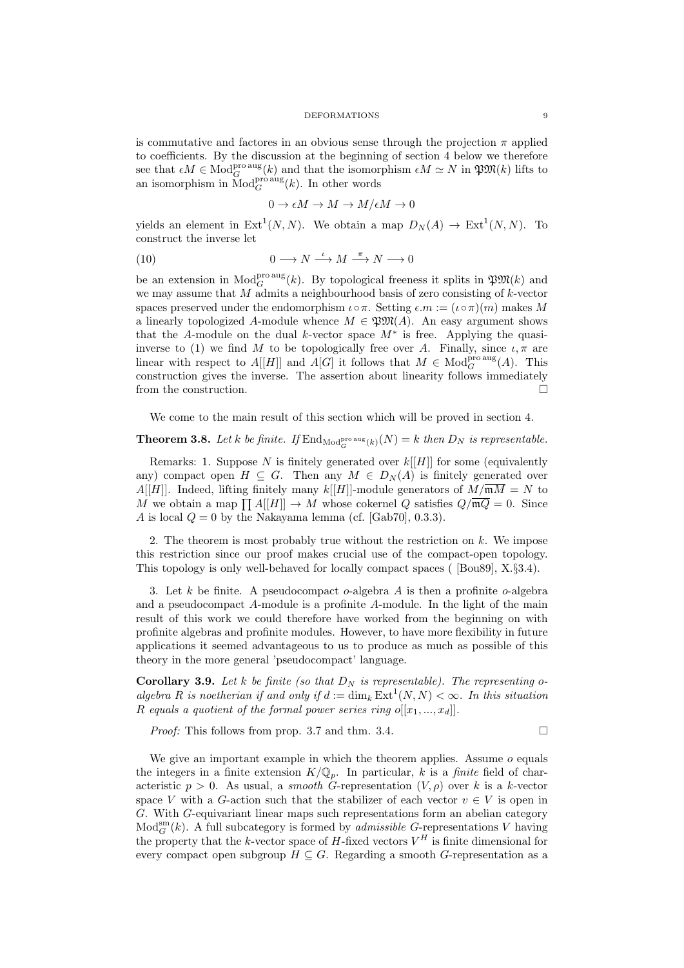is commutative and factores in an obvious sense through the projection  $\pi$  applied to coefficients. By the discussion at the beginning of section 4 below we therefore see that  $\epsilon M \in \text{Mod}_G^{\text{pro aug}}(k)$  and that the isomorphism  $\epsilon M \simeq N$  in  $\mathfrak{POX}(k)$  lifts to an isomorphism in  $\text{Mod}_{G}^{\text{pro\,aug}}(k)$ . In other words

$$
0 \to \epsilon M \to M \to M/\epsilon M \to 0
$$

yields an element in  $Ext^1(N, N)$ . We obtain a map  $D_N(A) \to Ext^1(N, N)$ . To construct the inverse let

(10) 
$$
0 \longrightarrow N \stackrel{\iota}{\longrightarrow} M \stackrel{\pi}{\longrightarrow} N \longrightarrow 0
$$

be an extension in  $\text{Mod}_G^{\text{pro aug}}(k)$ . By topological freeness it splits in  $\mathfrak{PM}(k)$  and we may assume that  $M$  admits a neighbourhood basis of zero consisting of  $k$ -vector spaces preserved under the endomorphism  $\iota \circ \pi$ . Setting  $\epsilon.m := (\iota \circ \pi)(m)$  makes M a linearly topologized A-module whence  $M \in \mathfrak{P} \mathfrak{M}(A)$ . An easy argument shows that the A-module on the dual k-vector space  $M^*$  is free. Applying the quasiinverse to (1) we find M to be topologically free over A. Finally, since  $\iota, \pi$  are linear with respect to  $A[[H]]$  and  $A[G]$  it follows that  $M \in Mod_G^{\text{pro\,aug}}(A)$ . This construction gives the inverse. The assertion about linearity follows immediately from the construction.

We come to the main result of this section which will be proved in section 4.

## **Theorem 3.8.** Let k be finite. If  $\text{End}_{\text{Mod}_G^{\text{pro aug}}(k)}(N) = k$  then  $D_N$  is representable.

Remarks: 1. Suppose  $N$  is finitely generated over  $k[[H]]$  for some (equivalently any) compact open  $H \subseteq G$ . Then any  $M \in D_N(A)$  is finitely generated over A[H]. Indeed, lifting finitely many  $k[[H]]$ -module generators of  $M/\mathfrak{m}\overline{M} = N$  to M we obtain a map  $\prod A[[H]] \to M$  whose cokernel Q satisfies  $Q/\overline{\mathfrak{m}Q} = 0$ . Since A is local  $Q = 0$  by the Nakayama lemma (cf. [Gab70], 0.3.3).

2. The theorem is most probably true without the restriction on  $k$ . We impose this restriction since our proof makes crucial use of the compact-open topology. This topology is only well-behaved for locally compact spaces ( [Bou89], X.§3.4).

3. Let k be finite. A pseudocompact  $o$ -algebra A is then a profinite  $o$ -algebra and a pseudocompact A-module is a profinite A-module. In the light of the main result of this work we could therefore have worked from the beginning on with profinite algebras and profinite modules. However, to have more flexibility in future applications it seemed advantageous to us to produce as much as possible of this theory in the more general 'pseudocompact' language.

**Corollary 3.9.** Let k be finite (so that  $D_N$  is representable). The representing oalgebra R is noetherian if and only if  $d := \dim_k \text{Ext}^1(N,N) < \infty$ . In this situation R equals a quotient of the formal power series ring  $o[[x_1, ..., x_d]]$ .

*Proof:* This follows from prop. 3.7 and thm. 3.4.

We give an important example in which the theorem applies. Assume  $o$  equals the integers in a finite extension  $K/\mathbb{Q}_p$ . In particular, k is a *finite* field of characteristic  $p > 0$ . As usual, a *smooth* G-representation  $(V, \rho)$  over k is a k-vector space V with a G-action such that the stabilizer of each vector  $v \in V$  is open in G. With G-equivariant linear maps such representations form an abelian category  $\text{Mod}_{G}^{\text{sm}}(k)$ . A full subcategory is formed by *admissible G*-representations V having the property that the k-vector space of  $H$ -fixed vectors  $V^H$  is finite dimensional for every compact open subgroup  $H \subseteq G$ . Regarding a smooth G-representation as a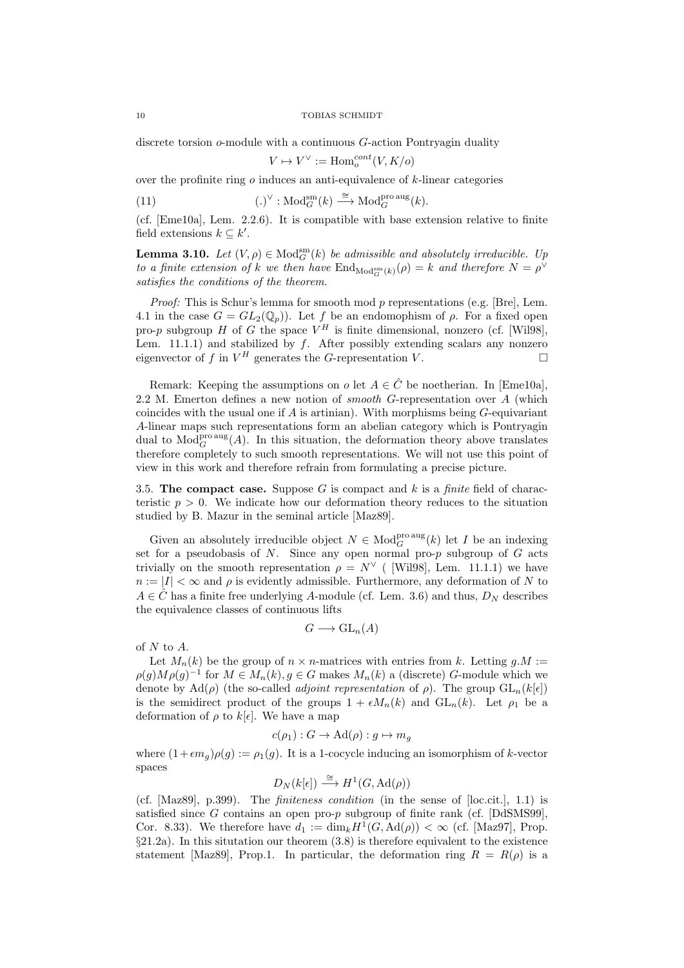discrete torsion o-module with a continuous G-action Pontryagin duality

$$
V \mapsto V^\vee := \operatorname{Hom}^{cont}_o(V,K/o)
$$

over the profinite ring  $\sigma$  induces an anti-equivalence of  $k$ -linear categories

(11) 
$$
(\.)^{\vee} : \text{Mod}_{G}^{\text{sm}}(k) \stackrel{\cong}{\longrightarrow} \text{Mod}_{G}^{\text{pro aus}}(k).
$$

(cf. [Eme10a], Lem. 2.2.6). It is compatible with base extension relative to finite field extensions  $k \subseteq k'$ .

**Lemma 3.10.** Let  $(V, \rho) \in Mod_G^{\text{sm}}(k)$  be admissible and absolutely irreducible. Up to a finite extension of k we then have  $\text{End}_{\text{Mod}_{G}^{\text{sm}}(k)}(\rho) = k$  and therefore  $N = \rho^{\vee}$ satisfies the conditions of the theorem.

*Proof:* This is Schur's lemma for smooth mod p representations (e.g. [Bre], Lem. 4.1 in the case  $G = GL_2(\mathbb{Q}_p)$ . Let f be an endomophism of  $\rho$ . For a fixed open pro-p subgroup H of G the space  $V^H$  is finite dimensional, nonzero (cf. [Wil98], Lem. 11.1.1) and stabilized by  $f$ . After possibly extending scalars any nonzero eigenvector of f in  $V^H$  generates the G-representation V.

Remark: Keeping the assumptions on  $o$  let  $A \in \hat{C}$  be noetherian. In [Eme10a], 2.2 M. Emerton defines a new notion of *smooth* G-representation over  $\overline{A}$  (which coincides with the usual one if  $A$  is artinian). With morphisms being  $G$ -equivariant A-linear maps such representations form an abelian category which is Pontryagin dual to  $\text{Mod}_{G}^{\text{pro\,ing}}(A)$ . In this situation, the deformation theory above translates therefore completely to such smooth representations. We will not use this point of view in this work and therefore refrain from formulating a precise picture.

3.5. The compact case. Suppose G is compact and k is a finite field of characteristic  $p > 0$ . We indicate how our deformation theory reduces to the situation studied by B. Mazur in the seminal article [Maz89].

Given an absolutely irreducible object  $N \in Mod_G^{\text{pro\,}}(k)$  let I be an indexing set for a pseudobasis of  $N$ . Since any open normal pro- $p$  subgroup of  $G$  acts trivially on the smooth representation  $\rho = N^{\vee}$  ( [Wil98], Lem. 11.1.1) we have  $n := |I| < \infty$  and  $\rho$  is evidently admissible. Furthermore, any deformation of N to  $A \in \hat{C}$  has a finite free underlying A-module (cf. Lem. 3.6) and thus,  $D<sub>N</sub>$  describes the equivalence classes of continuous lifts

$$
G \longrightarrow \mathrm{GL}_n(A)
$$

of N to A.

Let  $M_n(k)$  be the group of  $n \times n$ -matrices with entries from k. Letting  $q.M :=$  $\rho(g)M\rho(g)^{-1}$  for  $M \in M_n(k)$ ,  $g \in G$  makes  $M_n(k)$  a (discrete) G-module which we denote by  $\text{Ad}(\rho)$  (the so-called *adjoint representation* of  $\rho$ ). The group  $\text{GL}_n(k[\epsilon])$ is the semidirect product of the groups  $1 + \epsilon M_n(k)$  and  $GL_n(k)$ . Let  $\rho_1$  be a deformation of  $\rho$  to  $k[\epsilon]$ . We have a map

$$
c(\rho_1) : G \to \mathrm{Ad}(\rho) : g \mapsto m_g
$$

where  $(1+\epsilon m_g)\rho(g) := \rho_1(g)$ . It is a 1-cocycle inducing an isomorphism of k-vector spaces

$$
D_N(k[\epsilon]) \stackrel{\cong}{\longrightarrow} H^1(G, \mathrm{Ad}(\rho))
$$

(cf.  $[Maz89], p.399$ ). The *finiteness condition* (in the sense of  $[loc.cit.]$ , 1.1) is satisfied since G contains an open pro-p subgroup of finite rank (cf.  $[{\rm DdSMS99}]$ , Cor. 8.33). We therefore have  $d_1 := \dim_k H^1(G, \mathrm{Ad}(\rho)) < \infty$  (cf. [Maz97], Prop. §21.2a). In this situtation our theorem (3.8) is therefore equivalent to the existence statement [Maz89], Prop.1. In particular, the deformation ring  $R = R(\rho)$  is a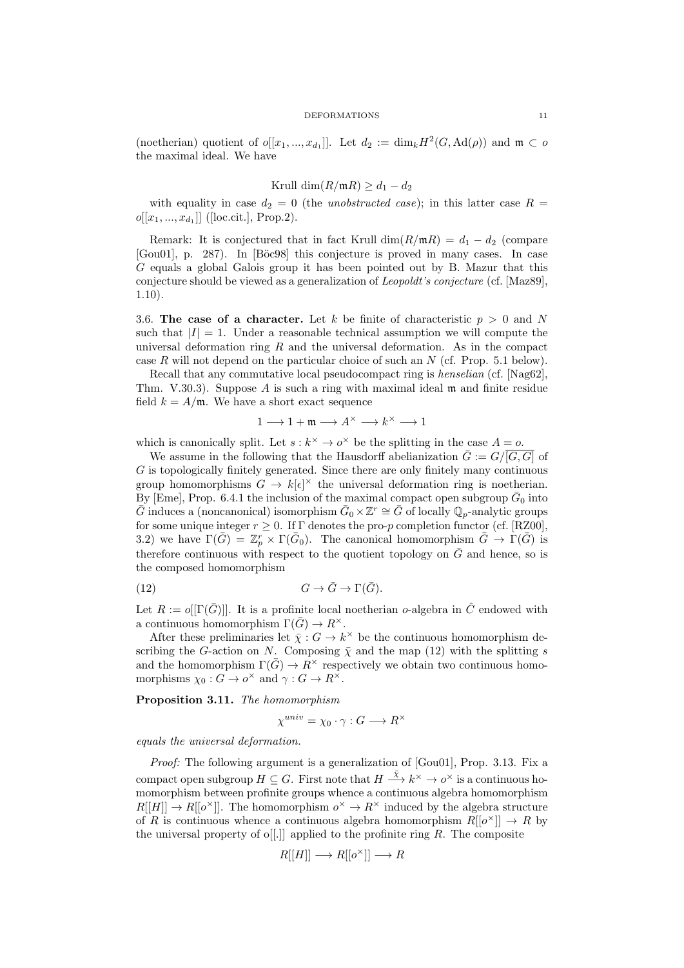(noetherian) quotient of  $o[[x_1, ..., x_{d_1}]]$ . Let  $d_2 := \dim_k H^2(G, \mathrm{Ad}(\rho))$  and  $\mathfrak{m} \subset o$ the maximal ideal. We have

Krull dim
$$
(R/\mathfrak{m}R) \geq d_1 - d_2
$$

with equality in case  $d_2 = 0$  (the unobstructed case); in this latter case  $R =$  $o[[x_1, ..., x_{d_1}]]$  ([loc.cit.], Prop.2).

Remark: It is conjectured that in fact Krull  $\dim(R/\mathfrak{m}R) = d_1 - d_2$  (compare [Gou01], p. 287). In [Böc98] this conjecture is proved in many cases. In case G equals a global Galois group it has been pointed out by B. Mazur that this conjecture should be viewed as a generalization of Leopoldt's conjecture (cf. [Maz89], 1.10).

3.6. The case of a character. Let k be finite of characteristic  $p > 0$  and N such that  $|I| = 1$ . Under a reasonable technical assumption we will compute the universal deformation ring  $R$  and the universal deformation. As in the compact case R will not depend on the particular choice of such an  $N$  (cf. Prop. 5.1 below).

Recall that any commutative local pseudocompact ring is *henselian* (cf. [Nag62], Thm. V.30.3). Suppose A is such a ring with maximal ideal  $\mathfrak{m}$  and finite residue field  $k = A/\mathfrak{m}$ . We have a short exact sequence

$$
1\longrightarrow 1+\mathfrak{m}\longrightarrow A^{\times}\longrightarrow k^{\times}\longrightarrow 1
$$

which is canonically split. Let  $s : k^{\times} \to o^{\times}$  be the splitting in the case  $A = o$ .

We assume in the following that the Hausdorff abelianization  $\bar{G} := G/\overline{[G,G]}$  of G is topologically finitely generated. Since there are only finitely many continuous group homomorphisms  $G \to k[\epsilon]^{\times}$  the universal deformation ring is noetherian. By [Eme], Prop. 6.4.1 the inclusion of the maximal compact open subgroup  $\bar{G}_0$  into  $\bar{G}$  induces a (noncanonical) isomorphism  $\bar{G}_0 \times \mathbb{Z}^r \cong \bar{G}$  of locally  $\mathbb{Q}_p$ -analytic groups for some unique integer  $r \geq 0$ . If  $\Gamma$  denotes the pro-p completion functor (cf. [RZ00], 3.2) we have  $\Gamma(\bar{G}) = \mathbb{Z}_p^r \times \Gamma(\bar{G}_0)$ . The canonical homomorphism  $\bar{G} \to \Gamma(\bar{G})$  is therefore continuous with respect to the quotient topology on  $\overline{G}$  and hence, so is the composed homomorphism

(12) 
$$
G \to \bar{G} \to \Gamma(\bar{G}).
$$

Let  $R := o[[\Gamma(\bar{G})]]$ . It is a profinite local noetherian o-algebra in  $\hat{C}$  endowed with a continuous homomorphism  $\Gamma(\bar{G}) \to R^{\times}$ .

After these preliminaries let  $\bar{\chi}: G \to k^{\times}$  be the continuous homomorphism describing the G-action on N. Composing  $\bar{\chi}$  and the map (12) with the splitting s and the homomorphism  $\Gamma(\bar{G}) \to R^{\times}$  respectively we obtain two continuous homomorphisms  $\chi_0: G \to o^\times$  and  $\gamma: G \to R^\times$ .

Proposition 3.11. The homomorphism

$$
\chi^{univ} = \chi_0 \cdot \gamma : G \longrightarrow R^{\times}
$$

equals the universal deformation.

Proof: The following argument is a generalization of [Gou01], Prop. 3.13. Fix a compact open subgroup  $H \subseteq G$ . First note that  $H \stackrel{\bar{x}}{\longrightarrow} k^{\times} \to o^{\times}$  is a continuous homomorphism between profinite groups whence a continuous algebra homomorphism  $R[[H]] \to R[[o^{\times}]]$ . The homomorphism  $o^{\times} \to R^{\times}$  induced by the algebra structure of R is continuous whence a continuous algebra homomorphism  $R[[o^{\times}]] \to R$  by the universal property of o[[.]] applied to the profinite ring  $R$ . The composite

$$
R[[H]] \longrightarrow R[[o^{\times}]] \longrightarrow R
$$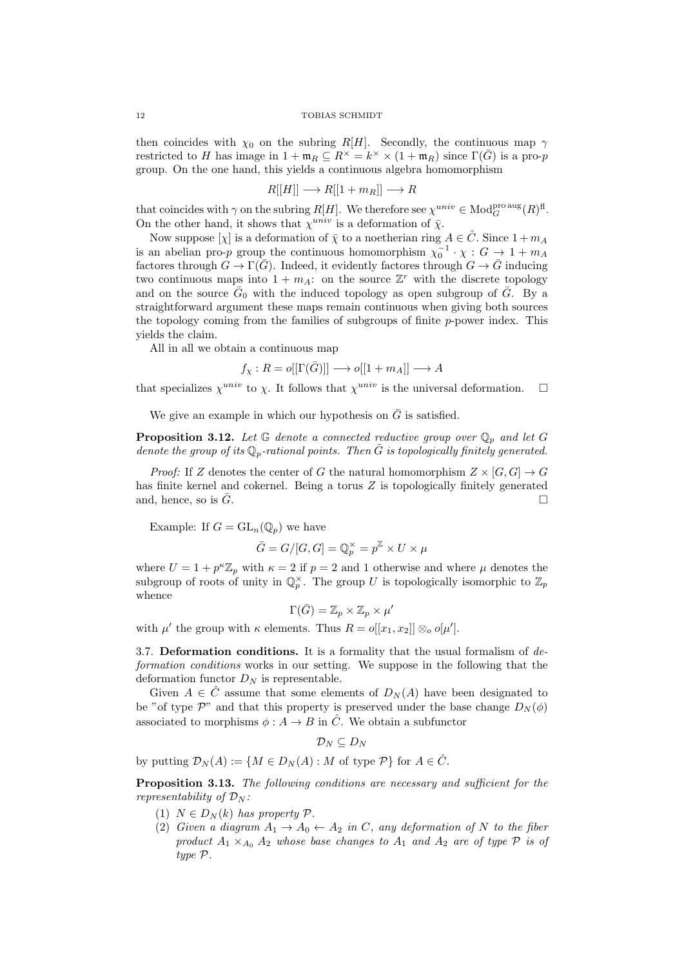#### 12 TOBIAS SCHMIDT

then coincides with  $\chi_0$  on the subring R[H]. Secondly, the continuous map  $\gamma$ restricted to H has image in  $1 + \mathfrak{m}_R \subseteq R^\times = k^\times \times (1 + \mathfrak{m}_R)$  since  $\Gamma(\bar{G})$  is a pro-p group. On the one hand, this yields a continuous algebra homomorphism

$$
R[[H]] \longrightarrow R[[1+m_R]] \longrightarrow R
$$

that coincides with  $\gamma$  on the subring  $R[H]$ . We therefore see  $\chi^{univ} \in Mod_G^{\text{pro aug}}(R)^{\text{fl}}$ . On the other hand, it shows that  $\chi^{univ}$  is a deformation of  $\bar{\chi}$ .

Now suppose  $[\chi]$  is a deformation of  $\bar{\chi}$  to a noetherian ring  $A \in \hat{C}$ . Since  $1 + m_A$ is an abelian pro-p group the continuous homomorphism  $\chi_0^{-1} \cdot \chi : G \to 1 + m_A$ factores through  $G \to \Gamma(\bar{G})$ . Indeed, it evidently factores through  $G \to \bar{G}$  inducing two continuous maps into  $1 + m_A$ : on the source  $\mathbb{Z}^r$  with the discrete topology and on the source  $\bar{G}_0$  with the induced topology as open subgroup of  $\bar{G}$ . By a straightforward argument these maps remain continuous when giving both sources the topology coming from the families of subgroups of finite  $p$ -power index. This yields the claim.

All in all we obtain a continuous map

$$
f_\chi: R = o[[\Gamma(\bar{G})]] \longrightarrow o[[1+m_A]] \longrightarrow A
$$

that specializes  $\chi^{univ}$  to  $\chi$ . It follows that  $\chi^{univ}$  is the universal deformation.  $\Box$ 

We give an example in which our hypothesis on  $\overline{G}$  is satisfied.

**Proposition 3.12.** Let  $\mathbb G$  denote a connected reductive group over  $\mathbb Q_p$  and let G denote the group of its  $\mathbb{Q}_p$ -rational points. Then  $\bar{G}$  is topologically finitely generated.

*Proof:* If Z denotes the center of G the natural homomorphism  $Z \times [G, G] \rightarrow G$ has finite kernel and cokernel. Being a torus Z is topologically finitely generated and, hence, so is  $\bar{G}$ .

Example: If  $G = GL_n(\mathbb{Q}_p)$  we have

$$
\bar{G} = G/[G, G] = \mathbb{Q}_p^{\times} = p^{\mathbb{Z}} \times U \times \mu
$$

where  $U = 1 + p^k \mathbb{Z}_p$  with  $\kappa = 2$  if  $p = 2$  and 1 otherwise and where  $\mu$  denotes the subgroup of roots of unity in  $\mathbb{Q}_p^{\times}$ . The group U is topologically isomorphic to  $\mathbb{Z}_p$ whence

$$
\Gamma(\bar{G}) = \mathbb{Z}_p \times \mathbb{Z}_p \times \mu'
$$

with  $\mu'$  the group with  $\kappa$  elements. Thus  $R = o[[x_1, x_2]] \otimes_o o[\mu']$ .

3.7. Deformation conditions. It is a formality that the usual formalism of  $de$ formation conditions works in our setting. We suppose in the following that the deformation functor  $D_N$  is representable.

Given  $A \in \hat{C}$  assume that some elements of  $D_N(A)$  have been designated to be "of type  $\mathcal{P}$ " and that this property is preserved under the base change  $D_N(\phi)$ associated to morphisms  $\phi: A \to B$  in  $\hat{C}$ . We obtain a subfunctor

 $\mathcal{D}_N \subseteq D_N$ 

by putting  $\mathcal{D}_N(A) := \{ M \in D_N(A) : M$  of type  $\mathcal{P} \}$  for  $A \in \hat{C}$ .

**Proposition 3.13.** The following conditions are necessary and sufficient for the representability of  $\mathcal{D}_N$ :

- (1)  $N \in D_N(k)$  has property  $\mathcal{P}$ .
- (2) Given a diagram  $A_1 \rightarrow A_0 \leftarrow A_2$  in C, any deformation of N to the fiber product  $A_1 \times_{A_0} A_2$  whose base changes to  $A_1$  and  $A_2$  are of type  $P$  is of type P.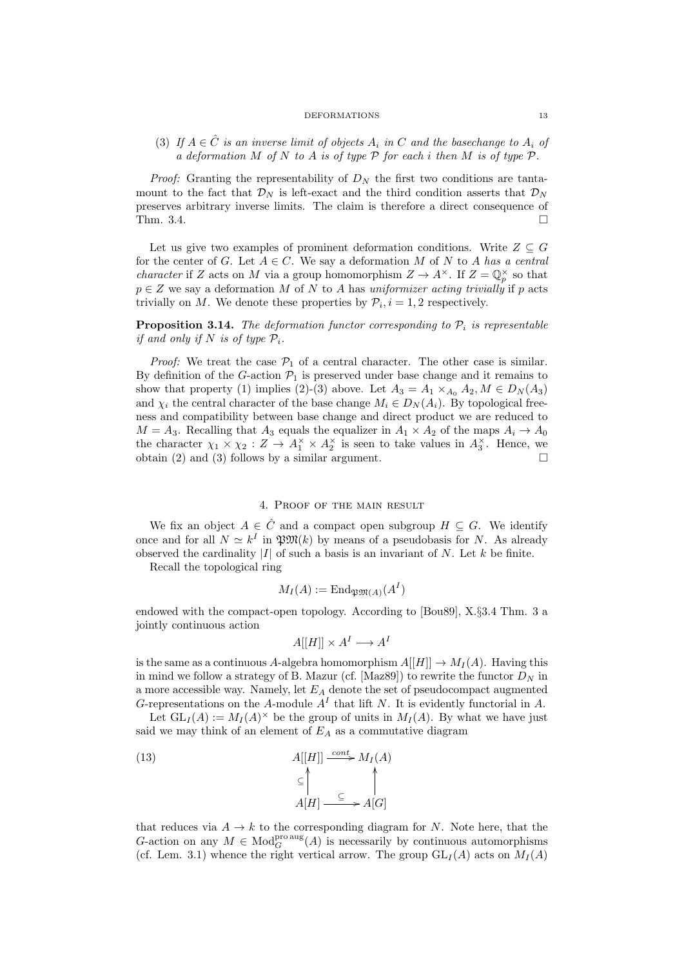(3) If  $A \in \hat{C}$  is an inverse limit of objects  $A_i$  in C and the basechange to  $A_i$  of a deformation M of N to A is of type  $P$  for each i then M is of type  $P$ .

*Proof:* Granting the representability of  $D<sub>N</sub>$  the first two conditions are tantamount to the fact that  $\mathcal{D}_N$  is left-exact and the third condition asserts that  $\mathcal{D}_N$ preserves arbitrary inverse limits. The claim is therefore a direct consequence of Thm. 3.4.

Let us give two examples of prominent deformation conditions. Write  $Z \subseteq G$ for the center of G. Let  $A \in \mathbb{C}$ . We say a deformation M of N to A has a central *character* if Z acts on M via a group homomorphism  $Z \to A^{\times}$ . If  $Z = \mathbb{Q}_p^{\times}$  so that  $p \in Z$  we say a deformation M of N to A has uniformizer acting trivially if p acts trivially on M. We denote these properties by  $\mathcal{P}_i$ ,  $i = 1, 2$  respectively.

**Proposition 3.14.** The deformation functor corresponding to  $\mathcal{P}_i$  is representable if and only if N is of type  $P_i$ .

*Proof:* We treat the case  $P_1$  of a central character. The other case is similar. By definition of the G-action  $\mathcal{P}_1$  is preserved under base change and it remains to show that property (1) implies (2)-(3) above. Let  $A_3 = A_1 \times_{A_0} A_2, M \in D_N(A_3)$ and  $\chi_i$  the central character of the base change  $M_i \in D_N(A_i)$ . By topological freeness and compatibility between base change and direct product we are reduced to  $M = A_3$ . Recalling that  $A_3$  equals the equalizer in  $A_1 \times A_2$  of the maps  $A_i \to A_0$ the character  $\chi_1 \times \chi_2 : Z \to A_1^{\times} \times A_2^{\times}$  is seen to take values in  $A_3^{\times}$ . Hence, we obtain (2) and (3) follows by a similar argument.  $\Box$ 

## 4. Proof of the main result

We fix an object  $A \in \hat{C}$  and a compact open subgroup  $H \subseteq G$ . We identify once and for all  $N \simeq k^I$  in  $\mathfrak{P}M(k)$  by means of a pseudobasis for N. As already observed the cardinality  $|I|$  of such a basis is an invariant of N. Let k be finite.

Recall the topological ring

$$
M_I(A) := \mathrm{End}_{\mathfrak{P}\mathfrak{M}(A)}(A^I)
$$

endowed with the compact-open topology. According to [Bou89], X.§3.4 Thm. 3 a jointly continuous action

$$
A[[H]] \times A^I \longrightarrow A^I
$$

is the same as a continuous A-algebra homomorphism  $A[[H]] \to M_I(A)$ . Having this in mind we follow a strategy of B. Mazur (cf. [Maz89]) to rewrite the functor  $D<sub>N</sub>$  in a more accessible way. Namely, let  $E_A$  denote the set of pseudocompact augmented G-representations on the A-module  $A<sup>I</sup>$  that lift N. It is evidently functorial in A.

Let  $GL_I(A) := M_I(A)^\times$  be the group of units in  $M_I(A)$ . By what we have just said we may think of an element of  $E_A$  as a commutative diagram

(13) 
$$
A[[H]] \xrightarrow{cont} M_I(A)
$$

$$
\subseteq \bigcap_{A[H]} \xrightarrow{\subseteq} A[G]
$$

that reduces via  $A \rightarrow k$  to the corresponding diagram for N. Note here, that the G-action on any  $M \in Mod_G^{\text{pro aug}}(A)$  is necessarily by continuous automorphisms (cf. Lem. 3.1) whence the right vertical arrow. The group  $GL_I(A)$  acts on  $M_I(A)$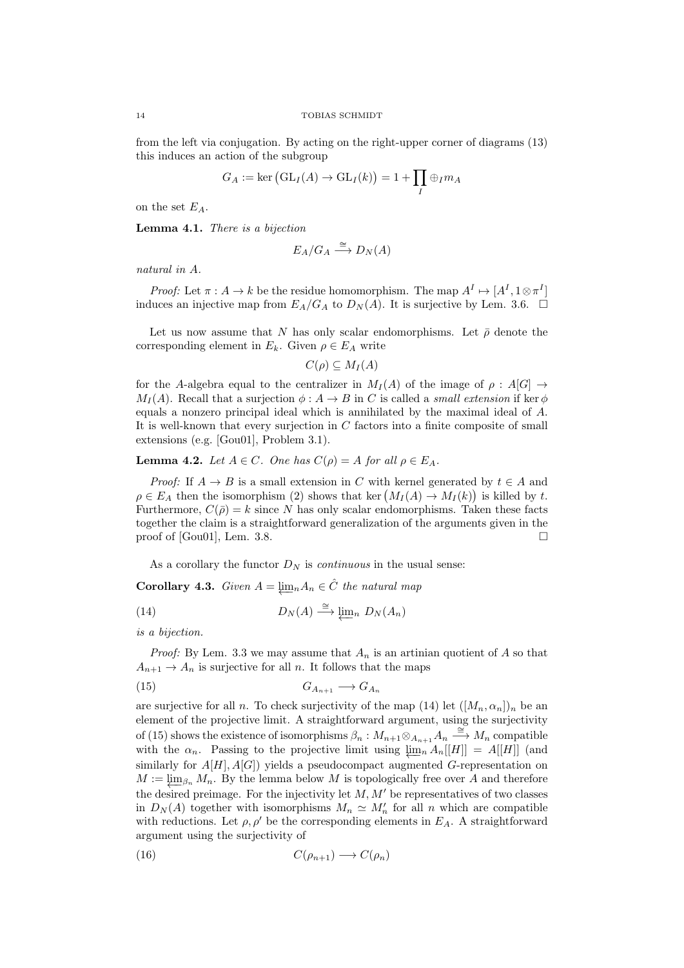from the left via conjugation. By acting on the right-upper corner of diagrams (13) this induces an action of the subgroup

$$
G_A := \ker\left(\mathrm{GL}_I(A) \to \mathrm{GL}_I(k)\right) = 1 + \prod_I \oplus_I m_A
$$

on the set  $E_A$ .

Lemma 4.1. There is a bijection

$$
E_A/G_A \xrightarrow{\cong} D_N(A)
$$

natural in A.

*Proof:* Let  $\pi : A \to k$  be the residue homomorphism. The map  $A^I \mapsto [A^I, 1 \otimes \pi^I]$ induces an injective map from  $E_A/G_A$  to  $D_N(A)$ . It is surjective by Lem. 3.6.  $\Box$ 

Let us now assume that N has only scalar endomorphisms. Let  $\bar{\rho}$  denote the corresponding element in  $E_k$ . Given  $\rho \in E_A$  write

$$
C(\rho) \subseteq M_I(A)
$$

for the A-algebra equal to the centralizer in  $M_I(A)$  of the image of  $\rho : A[G] \to$  $M_I(A)$ . Recall that a surjection  $\phi: A \to B$  in C is called a *small extension* if ker  $\phi$ equals a nonzero principal ideal which is annihilated by the maximal ideal of A. It is well-known that every surjection in C factors into a finite composite of small extensions (e.g. [Gou01], Problem 3.1).

**Lemma 4.2.** Let  $A \in C$ . One has  $C(\rho) = A$  for all  $\rho \in E_A$ .

*Proof:* If  $A \rightarrow B$  is a small extension in C with kernel generated by  $t \in A$  and  $\rho \in E_A$  then the isomorphism (2) shows that ker  $(M_I(A) \to M_I(k))$  is killed by t. Furthermore,  $C(\bar{\rho}) = k$  since N has only scalar endomorphisms. Taken these facts together the claim is a straightforward generalization of the arguments given in the proof of [Gou01], Lem. 3.8.

As a corollary the functor  $D<sub>N</sub>$  is *continuous* in the usual sense:

**Corollary 4.3.** Given  $A = \lim_{n \to \infty} A_n \in \hat{C}$  the natural map

(14) 
$$
D_N(A) \stackrel{\cong}{\longrightarrow} \varprojlim_n D_N(A_n)
$$

is a bijection.

*Proof:* By Lem. 3.3 we may assume that  $A_n$  is an artinian quotient of A so that  $A_{n+1} \to A_n$  is surjective for all n. It follows that the maps

$$
(15) \t G_{A_{n+1}} \longrightarrow G_{A_n}
$$

are surjective for all n. To check surjectivity of the map (14) let  $([M_n, \alpha_n])_n$  be an element of the projective limit. A straightforward argument, using the surjectivity of (15) shows the existence of isomorphisms  $\beta_n : M_{n+1} \otimes_{A_{n+1}} A_n \stackrel{\cong}{\longrightarrow} M_n$  compatible with the  $\alpha_n$ . Passing to the projective limit using  $\lim_{n} A_n[[H]] = A[[H]]$  (and similarly for  $A[H], A[G]$ ) yields a pseudocompact augmented G-representation on  $M := \lim_{\beta_n} M_n$ . By the lemma below M is topologically free over A and therefore the desired preimage. For the injectivity let  $M, M'$  be representatives of two classes in  $D_N(A)$  together with isomorphisms  $M_n \simeq M'_n$  for all n which are compatible with reductions. Let  $\rho, \rho'$  be the corresponding elements in  $E_A$ . A straightforward argument using the surjectivity of

$$
(16) \tC(\rho_{n+1}) \to C(\rho_n)
$$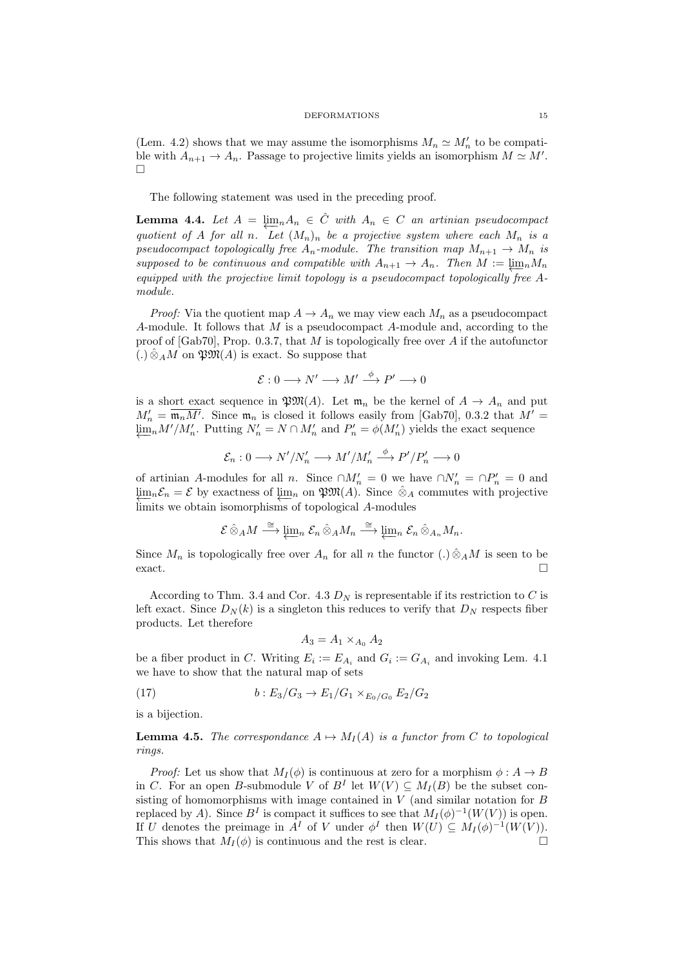(Lem. 4.2) shows that we may assume the isomorphisms  $M_n \simeq M'_n$  to be compatible with  $A_{n+1} \to A_n$ . Passage to projective limits yields an isomorphism  $M \simeq M'$ .  $\Box$ 

The following statement was used in the preceding proof.

**Lemma 4.4.** Let  $A = \lim_{n} A_n \in \hat{C}$  with  $A_n \in C$  an artinian pseudocompact quotient of A for all n. Let  $(M_n)_n$  be a projective system where each  $M_n$  is a pseudocompact topologically free  $A_n$ -module. The transition map  $M_{n+1} \to M_n$  is supposed to be continuous and compatible with  $A_{n+1} \to A_n$ . Then  $M := \lim_n M_n$ equipped with the projective limit topology is a pseudocompact topologically free  $A$ module.

*Proof:* Via the quotient map  $A \to A_n$  we may view each  $M_n$  as a pseudocompact A-module. It follows that  $M$  is a pseudocompact A-module and, according to the proof of  $[Gab70]$ , Prop. 0.3.7, that M is topologically free over A if the autofunctor  $(.) \hat{\otimes}_A M$  on  $\mathfrak{P} \mathfrak{M}(A)$  is exact. So suppose that

$$
\mathcal{E}: 0 \longrightarrow N' \longrightarrow M' \stackrel{\phi}{\longrightarrow} P' \longrightarrow 0
$$

is a short exact sequence in  $\mathfrak{P}M(A)$ . Let  $\mathfrak{m}_n$  be the kernel of  $A \to A_n$  and put  $M'_n = \overline{\mathfrak{m}_n M'}$ . Since  $\mathfrak{m}_n$  is closed it follows easily from [Gab70], 0.3.2 that  $M' =$  $\varprojlim_n M'/M'_n$ . Putting  $N'_n = N \cap M'_n$  and  $P'_n = \phi(M'_n)$  yields the exact sequence

$$
\mathcal{E}_n: 0 \longrightarrow N'/N'_n \longrightarrow M'/M'_n \stackrel{\phi}{\longrightarrow} P'/P'_n \longrightarrow 0
$$

of artinian A-modules for all n. Since  $\cap M'_n = 0$  we have  $\cap N'_n = \cap P'_n = 0$  and  $\lim_{n} \mathcal{E}_n = \mathcal{E}$  by exactness of  $\lim_{n}$  on  $\mathfrak{P}M(A)$ . Since  $\hat{\otimes}_A$  commutes with projective limits we obtain isomorphisms of topological A-modules

$$
\mathcal{E} \,\hat{\otimes}_A M \stackrel{\cong}{\longrightarrow} \varprojlim_n \, \mathcal{E}_n \,\hat{\otimes}_A M_n \stackrel{\cong}{\longrightarrow} \varprojlim_n \, \mathcal{E}_n \,\hat{\otimes}_{A_n} M_n.
$$

Since  $M_n$  is topologically free over  $A_n$  for all n the functor  $(.) \hat{\otimes}_A M$  is seen to be exact.

According to Thm. 3.4 and Cor. 4.3  $D<sub>N</sub>$  is representable if its restriction to C is left exact. Since  $D_N(k)$  is a singleton this reduces to verify that  $D_N$  respects fiber products. Let therefore

$$
A_3 = A_1 \times_{A_0} A_2
$$

be a fiber product in C. Writing  $E_i := E_{A_i}$  and  $G_i := G_{A_i}$  and invoking Lem. 4.1 we have to show that the natural map of sets

(17) 
$$
b: E_3/G_3 \to E_1/G_1 \times_{E_0/G_0} E_2/G_2
$$

is a bijection.

**Lemma 4.5.** The correspondance  $A \mapsto M_I(A)$  is a functor from C to topological rings.

*Proof:* Let us show that  $M_I(\phi)$  is continuous at zero for a morphism  $\phi: A \to B$ in C. For an open B-submodule V of  $B<sup>I</sup>$  let  $W(V) \subseteq M_I(B)$  be the subset consisting of homomorphisms with image contained in  $V$  (and similar notation for  $B$ replaced by A). Since  $B<sup>I</sup>$  is compact it suffices to see that  $M_I(\phi)^{-1}(W(V))$  is open. If U denotes the preimage in  $A^I$  of V under  $\phi^I$  then  $W(U) \subseteq M_I(\phi)^{-1}(W(V))$ . This shows that  $M_I(\phi)$  is continuous and the rest is clear.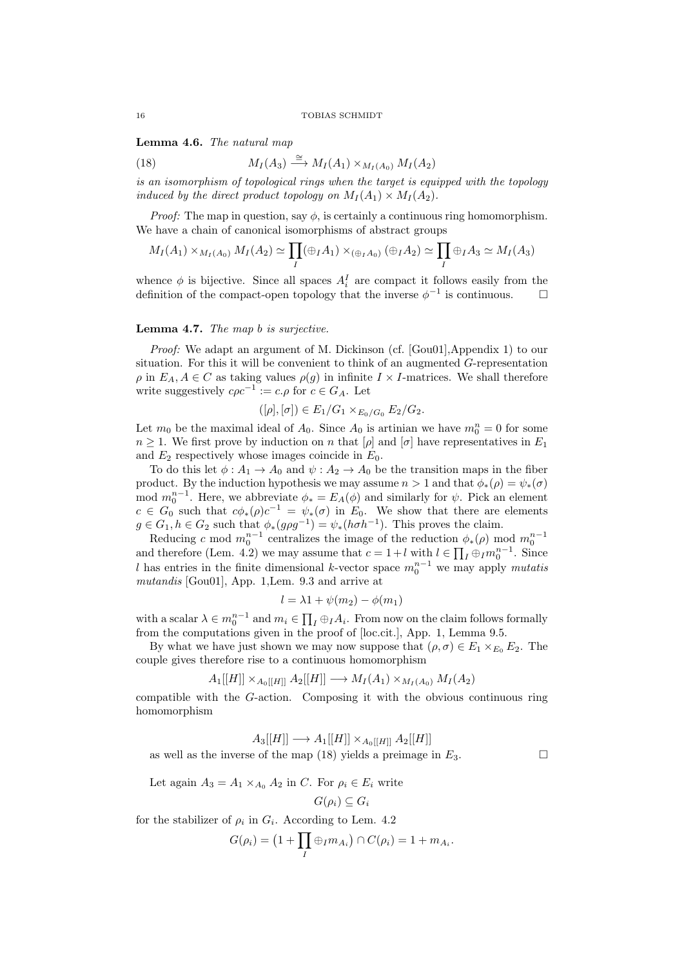Lemma 4.6. The natural map

(18) 
$$
M_I(A_3) \stackrel{\cong}{\longrightarrow} M_I(A_1) \times_{M_I(A_0)} M_I(A_2)
$$

is an isomorphism of topological rings when the target is equipped with the topology induced by the direct product topology on  $M_I(A_1) \times M_I(A_2)$ .

*Proof:* The map in question, say  $\phi$ , is certainly a continuous ring homomorphism. We have a chain of canonical isomorphisms of abstract groups

$$
M_I(A_1) \times_{M_I(A_0)} M_I(A_2) \simeq \prod_I (\oplus_I A_1) \times_{(\oplus_I A_0)} (\oplus_I A_2) \simeq \prod_I \oplus_I A_3 \simeq M_I(A_3)
$$

whence  $\phi$  is bijective. Since all spaces  $A_i^I$  are compact it follows easily from the definition of the compact-open topology that the inverse  $\phi^{-1}$  is continuous.  $\Box$ 

## Lemma 4.7. The map b is surjective.

Proof: We adapt an argument of M. Dickinson (cf. [Gou01], Appendix 1) to our situation. For this it will be convenient to think of an augmented G-representation  $\rho$  in  $E_A, A \in \mathbb{C}$  as taking values  $\rho(g)$  in infinite  $I \times I$ -matrices. We shall therefore write suggestively  $c\rho c^{-1} := c.\rho$  for  $c \in G_A$ . Let

$$
([\rho], [\sigma]) \in E_1/G_1 \times_{E_0/G_0} E_2/G_2.
$$

Let  $m_0$  be the maximal ideal of  $A_0$ . Since  $A_0$  is artinian we have  $m_0^n = 0$  for some  $n \geq 1$ . We first prove by induction on n that  $[\rho]$  and  $[\sigma]$  have representatives in  $E_1$ and  $E_2$  respectively whose images coincide in  $E_0$ .

To do this let  $\phi: A_1 \to A_0$  and  $\psi: A_2 \to A_0$  be the transition maps in the fiber product. By the induction hypothesis we may assume  $n > 1$  and that  $\phi_*(\rho) = \psi_*(\sigma)$ mod  $m_0^{n-1}$ . Here, we abbreviate  $\phi_* = E_A(\phi)$  and similarly for  $\psi$ . Pick an element  $c \in G_0$  such that  $c\phi_*(\rho)c^{-1} = \psi_*(\sigma)$  in  $E_0$ . We show that there are elements  $g \in G_1, h \in G_2$  such that  $\phi_*(g\rho g^{-1}) = \psi_*(h \sigma h^{-1})$ . This proves the claim.

Reducing c mod  $m_0^{n-1}$  centralizes the image of the reduction  $\phi_*(\rho)$  mod  $m_0^{n-1}$ and therefore (Lem. 4.2) we may assume that  $c = 1 + l$  with  $l \in \prod_I \oplus_I m_0^{n-1}$ . Since l has entries in the finite dimensional k-vector space  $m_0^{n-1}$  we may apply mutatis mutandis [Gou01], App. 1,Lem. 9.3 and arrive at

$$
l = \lambda 1 + \psi(m_2) - \phi(m_1)
$$

with a scalar  $\lambda \in m_0^{n-1}$  and  $m_i \in \prod_I \oplus_I A_i$ . From now on the claim follows formally from the computations given in the proof of [loc.cit.], App. 1, Lemma 9.5.

By what we have just shown we may now suppose that  $(\rho, \sigma) \in E_1 \times_{E_0} E_2$ . The couple gives therefore rise to a continuous homomorphism

$$
A_1[[H]] \times_{A_0[[H]]} A_2[[H]] \longrightarrow M_I(A_1) \times_{M_I(A_0)} M_I(A_2)
$$

compatible with the G-action. Composing it with the obvious continuous ring homomorphism

$$
A_3[[H]] \longrightarrow A_1[[H]] \times_{A_0[[H]]} A_2[[H]]
$$

as well as the inverse of the map (18) yields a preimage in  $E_3$ .

Let again  $A_3 = A_1 \times_{A_0} A_2$  in C. For  $\rho_i \in E_i$  write

$$
G(\rho_i) \subseteq G_i
$$

for the stabilizer of  $\rho_i$  in  $G_i$ . According to Lem. 4.2

$$
G(\rho_i) = \left(1 + \prod_I \oplus_I m_{A_i}\right) \cap C(\rho_i) = 1 + m_{A_i}.
$$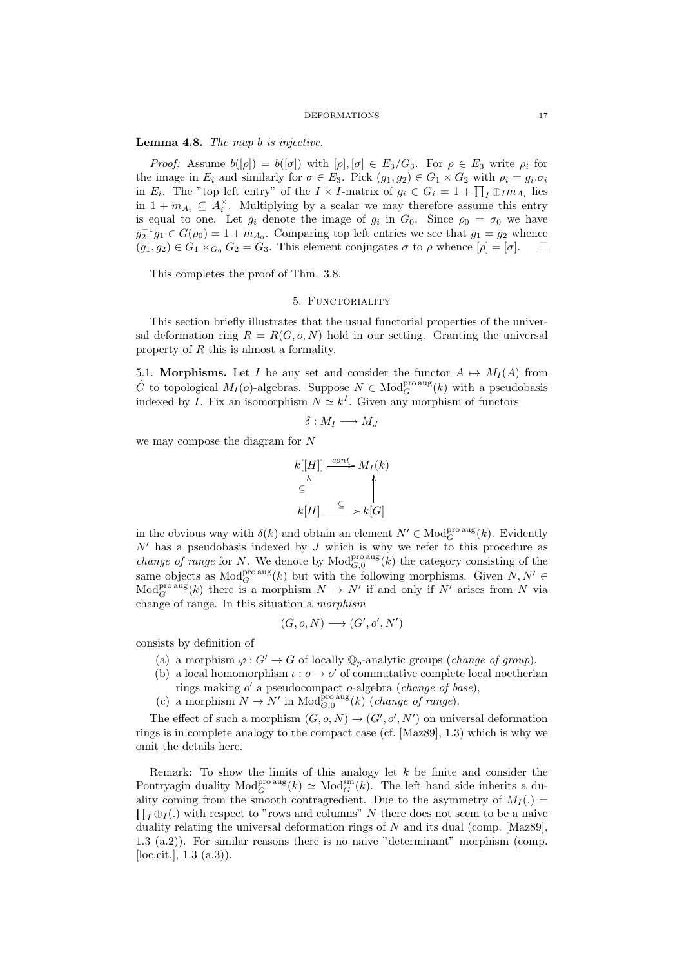Lemma 4.8. The map b is injective.

*Proof:* Assume  $b([\rho]) = b([\sigma])$  with  $[\rho], [\sigma] \in E_3/G_3$ . For  $\rho \in E_3$  write  $\rho_i$  for the image in  $E_i$  and similarly for  $\sigma \in E_3$ . Pick  $(g_1, g_2) \in G_1 \times G_2$  with  $\rho_i = g_i \sigma_i$ in  $E_i$ . The "top left entry" of the  $I \times I$ -matrix of  $g_i \in G_i = 1 + \prod_I \oplus_I m_{A_i}$  lies in  $1 + m_{A_i} \subseteq A_i^{\times}$ . Multiplying by a scalar we may therefore assume this entry is equal to one. Let  $\bar{g}_i$  denote the image of  $g_i$  in  $G_0$ . Since  $\rho_0 = \sigma_0$  we have  $\bar{g}_2^{-1}\bar{g}_1 \in G(\rho_0) = 1 + m_{A_0}$ . Comparing top left entries we see that  $\bar{g}_1 = \bar{g}_2$  whence  $(g_1, g_2) \in G_1 \times_{G_0} G_2 = G_3$ . This element conjugates  $\sigma$  to  $\rho$  whence  $[\rho] = [\sigma]$ .

This completes the proof of Thm. 3.8.

## 5. FUNCTORIALITY

This section briefly illustrates that the usual functorial properties of the universal deformation ring  $R = R(G, o, N)$  hold in our setting. Granting the universal property of R this is almost a formality.

5.1. Morphisms. Let I be any set and consider the functor  $A \mapsto M_I(A)$  from  $\hat{C}$  to topological  $M_I(o)$ -algebras. Suppose  $N \in Mod_G^{\text{pro aus}}(k)$  with a pseudobasis indexed by I. Fix an isomorphism  $N \simeq k<sup>I</sup>$ . Given any morphism of functors

$$
\delta: M_I \longrightarrow M_J
$$

we may compose the diagram for N

$$
k[[H]] \xrightarrow{cont} M_I(k)
$$
  
\n
$$
\subseteq \bigcap_{k[H]} \qquad \subseteq \qquad k[G]
$$

in the obvious way with  $\delta(k)$  and obtain an element  $N' \in Mod_G^{\text{pro aus}}(k)$ . Evidently  $N'$  has a pseudobasis indexed by J which is why we refer to this procedure as *change of range* for N. We denote by  $\text{Mod}_{G,0}^{\text{pro aus}}(k)$  the category consisting of the same objects as  $\text{Mod}_G^{\text{pro aug}}(k)$  but with the following morphisms. Given  $N, N' \in$  $\text{Mod}_G^{\text{pro aus}}(k)$  there is a morphism  $N \to N'$  if and only if N' arises from N via change of range. In this situation a morphism

$$
(G,o,N)\longrightarrow (G^{\prime},o^{\prime},N^{\prime})
$$

consists by definition of

- (a) a morphism  $\varphi: G' \to G$  of locally  $\mathbb{Q}_p$ -analytic groups (*change of group*),
- (b) a local homomorphism  $\iota : o \to o'$  of commutative complete local noetherian rings making  $o'$  a pseudocompact  $o$ -algebra (*change of base*),
	-
- (c) a morphism  $N \to N'$  in  $\text{Mod}_{G,0}^{\text{pro aus}}(k)$  (*change of range*).

The effect of such a morphism  $(G, o, N) \to (G', o', N')$  on universal deformation rings is in complete analogy to the compact case (cf. [Maz89], 1.3) which is why we omit the details here.

Remark: To show the limits of this analogy let  $k$  be finite and consider the Pontryagin duality  $Mod_G^{\text{pro\,aug}}(k) \simeq Mod_G^{\text{sm}}(k)$ . The left hand side inherits a duality coming from the smooth contragredient. Due to the asymmetry of  $M_I(.)$  $\prod_I \oplus_I (.)$  with respect to "rows and columns" N there does not seem to be a naive duality relating the universal deformation rings of  $N$  and its dual (comp. [Maz89], 1.3 (a.2)). For similar reasons there is no naive "determinant" morphism (comp. [ $loc.$ cit.],  $1.3$   $(a.3)$ ].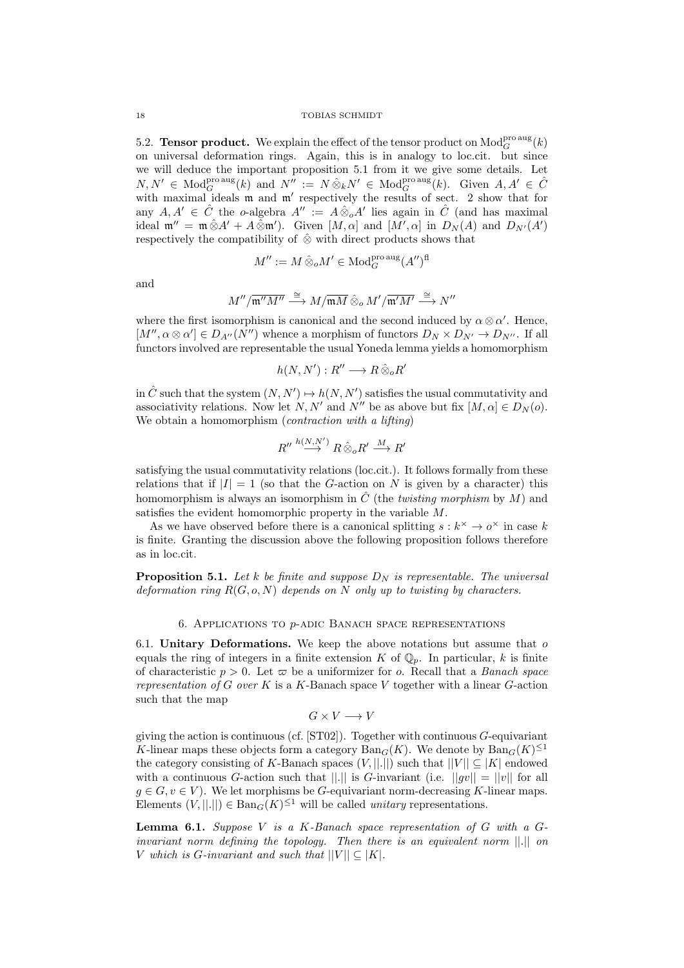5.2. **Tensor product.** We explain the effect of the tensor product on  $\text{Mod}_{G}^{\text{pro aug}}(k)$ on universal deformation rings. Again, this is in analogy to loc.cit. but since we will deduce the important proposition 5.1 from it we give some details. Let  $N, N' \in \text{Mod}_G^{\text{pro aug}}(k)$  and  $N'' := N \hat{\otimes}_k N' \in \text{Mod}_G^{\text{pro aug}}(k)$ . Given  $A, A' \in \hat{C}$ with maximal ideals  $m$  and  $m'$  respectively the results of sect. 2 show that for any  $A, A' \in \hat{C}$  the o-algebra  $A'' := A \hat{\otimes}_o A'$  lies again in  $\hat{C}$  (and has maximal ideal  $\mathfrak{m}'' = \mathfrak{m} \hat{\otimes} A' + A \hat{\otimes} \mathfrak{m}'$ . Given  $[M, \alpha]$  and  $[M', \alpha]$  in  $D_N(A)$  and  $D_{N'}(A')$ respectively the compatibility of  $\hat{\otimes}$  with direct products shows that

$$
M'':=M\,\hat\otimes_o M'\in\mathop{\rm Mod}\nolimits_G^{\rm pro\,aug}(A'')^{\rm fl}
$$

and

$$
M''/\overline{\mathfrak{m}''M''}\stackrel{\cong}{\longrightarrow} M/\overline{\mathfrak{m} M}\mathbin{\hat\otimes_o} M'/\overline{\mathfrak{m}' M'}\stackrel{\cong}{\longrightarrow} N''
$$

where the first isomorphism is canonical and the second induced by  $\alpha \otimes \alpha'$ . Hence,  $[M'', \alpha \otimes \alpha'] \in D_{A''}(N'')$  whence a morphism of functors  $D_N \times D_{N'} \to D_{N''}$ . If all functors involved are representable the usual Yoneda lemma yields a homomorphism

$$
h(N, N'): R'' \longrightarrow R \hat{\otimes}_{o} R'
$$

in  $\hat{C}$  such that the system  $(N, N') \mapsto h(N, N')$  satisfies the usual commutativity and associativity relations. Now let N, N' and N'' be as above but fix  $[M, \alpha] \in D_N(o)$ . We obtain a homomorphism (*contraction with a lifting*)

$$
R'' \stackrel{h(N,N')}{\longrightarrow} R \hat{\otimes}_o R' \stackrel{M}{\longrightarrow} R'
$$

satisfying the usual commutativity relations (loc.cit.). It follows formally from these relations that if  $|I| = 1$  (so that the G-action on N is given by a character) this homomorphism is always an isomorphism in  $\hat{C}$  (the *twisting morphism* by M) and satisfies the evident homomorphic property in the variable M.

As we have observed before there is a canonical splitting  $s : k^{\times} \to o^{\times}$  in case k is finite. Granting the discussion above the following proposition follows therefore as in loc.cit.

**Proposition 5.1.** Let k be finite and suppose  $D_N$  is representable. The universal deformation ring  $R(G, o, N)$  depends on N only up to twisting by characters.

## 6. Applications to p-adic Banach space representations

6.1. Unitary Deformations. We keep the above notations but assume that  $o$ equals the ring of integers in a finite extension K of  $\mathbb{Q}_p$ . In particular, k is finite of characteristic  $p > 0$ . Let  $\varpi$  be a uniformizer for o. Recall that a *Banach space* representation of  $G$  over  $K$  is a  $K$ -Banach space  $V$  together with a linear  $G$ -action such that the map

$$
G\times V\longrightarrow V
$$

giving the action is continuous (cf.  $ST02$ ). Together with continuous  $G$ -equivariant K-linear maps these objects form a category  $\text{Ban}_G(K)$ . We denote by  $\text{Ban}_G(K)^{\leq 1}$ the category consisting of K-Banach spaces  $(V, ||.||)$  such that  $||V|| \subseteq |K|$  endowed with a continuous G-action such that  $||.||$  is G-invariant (i.e.  $||qv|| = ||v||$  for all  $g \in G, v \in V$ ). We let morphisms be G-equivariant norm-decreasing K-linear maps. Elements  $(V, ||.||) \in \text{Ban}_G(K)^{\leq 1}$  will be called *unitary* representations.

**Lemma 6.1.** Suppose V is a K-Banach space representation of G with a  $G$ invariant norm defining the topology. Then there is an equivalent norm  $||.||$  on V which is G-invariant and such that  $||V|| \subseteq |K|$ .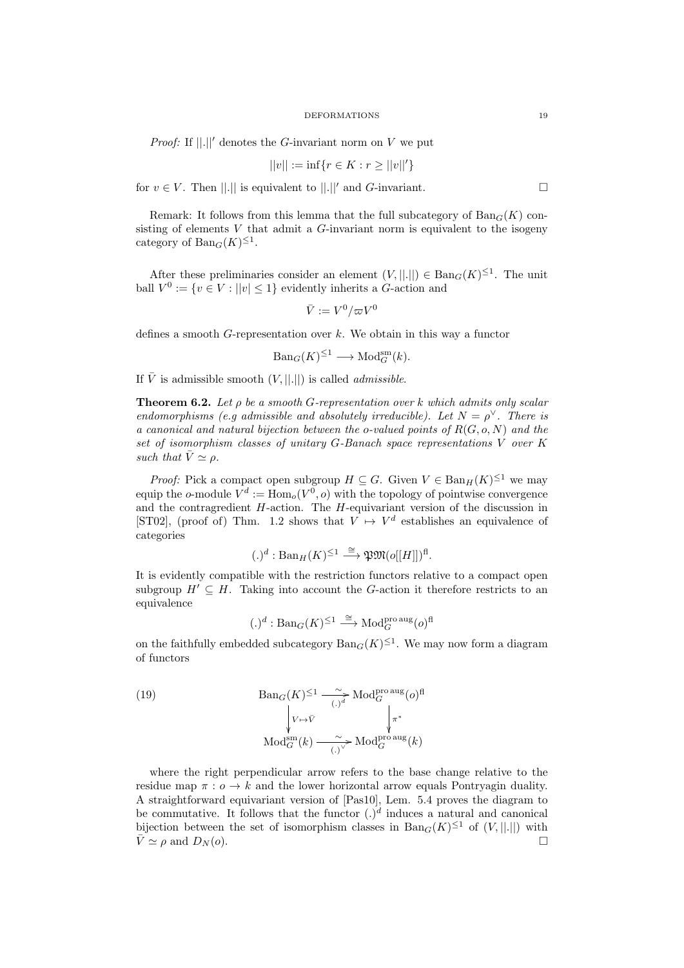*Proof:* If  $\vert\vert.\vert\vert'$  denotes the G-invariant norm on V we put

$$
||v|| := \inf\{r \in K : r \ge ||v||'\}
$$

for  $v \in V$ . Then ||.|| is equivalent to ||.||' and G-invariant.

Remark: It follows from this lemma that the full subcategory of  $\text{Ban}_{G}(K)$  consisting of elements  $V$  that admit a  $G$ -invariant norm is equivalent to the isogeny category of  $\text{Ban}_G(K)^{\leq 1}$ .

After these preliminaries consider an element  $(V, ||.||) \in \text{Ban}_G(K)^{\leq 1}$ . The unit ball  $V^0 := \{v \in V : ||v|| \leq 1\}$  evidently inherits a G-action and

$$
\bar{V} := V^0/\varpi V^0
$$

defines a smooth  $G$ -representation over  $k$ . We obtain in this way a functor

$$
Ban_G(K)^{\leq 1} \longrightarrow \mathrm{Mod}_G^{\mathrm{sm}}(k).
$$

If  $\overline{V}$  is admissible smooth  $(V, ||.||)$  is called *admissible*.

**Theorem 6.2.** Let  $\rho$  be a smooth G-representation over k which admits only scalar endomorphisms (e.g admissible and absolutely irreducible). Let  $N = \rho^{\vee}$ . There is a canonical and natural bijection between the o-valued points of  $R(G, o, N)$  and the set of isomorphism classes of unitary G-Banach space representations V over K such that  $\bar{V} \simeq \rho$ .

*Proof:* Pick a compact open subgroup  $H \subseteq G$ . Given  $V \in \text{Ban}_H(K)^{\leq 1}$  we may equip the o-module  $V^d := \text{Hom}_o(V^0, o)$  with the topology of pointwise convergence and the contragredient  $H$ -action. The  $H$ -equivariant version of the discussion in [ST02], (proof of) Thm. 1.2 shows that  $V \mapsto V^d$  establishes an equivalence of categories

$$
(.)^d: \mathrm{Ban}_{H}(K)^{\leq 1} \stackrel{\cong}{\longrightarrow} \mathfrak{P}\mathfrak{M}(o[[H]])^{\mathrm{fl}}.
$$

It is evidently compatible with the restriction functors relative to a compact open subgroup  $H' \subseteq H$ . Taking into account the G-action it therefore restricts to an equivalence

$$
(.)^d : \operatorname{Ban}_G(K)^{\leq 1} \stackrel{\cong}{\longrightarrow} \operatorname{Mod}_G^{\operatorname{pro\,aug}}(o)^{\operatorname{fl}}
$$

on the faithfully embedded subcategory  $\text{Ban}_G(K)^{\leq 1}$ . We may now form a diagram of functors

(19) 
$$
\text{Ban}_{G}(K)^{\leq 1} \xrightarrow[(-)]]{\sim} \text{Mod}_{G}^{\text{pro aug}}(o)^{\text{fl}}
$$

$$
\sqrt[V \mapsto \bar{V}]\n\qquad \qquad \sqrt{\pi^{*}}\n\qquad \qquad \text{Mod}_{G}^{\text{sm}}(k)
$$

where the right perpendicular arrow refers to the base change relative to the residue map  $\pi$ :  $o \rightarrow k$  and the lower horizontal arrow equals Pontryagin duality. A straightforward equivariant version of [Pas10], Lem. 5.4 proves the diagram to be commutative. It follows that the functor  $(.)^d$  induces a natural and canonical bijection between the set of isomorphism classes in  $\text{Ban}_G(K)^{\leq 1}$  of  $(V, ||.||)$  with  $\bar{V} \simeq \rho$  and  $D_N(o)$ .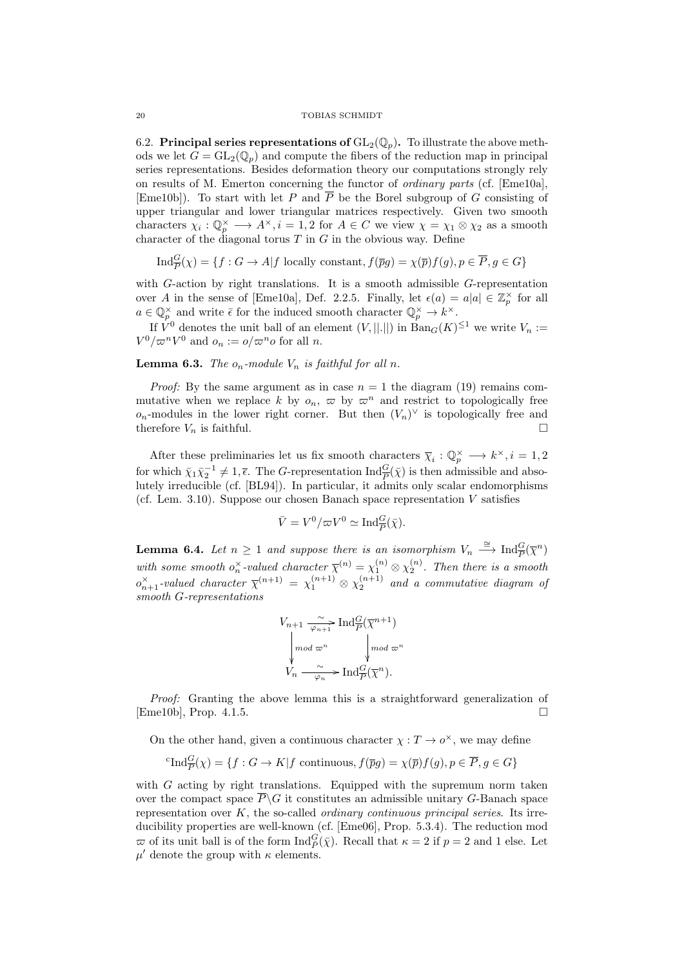## 20 TOBIAS SCHMIDT

6.2. Principal series representations of  $GL_2(\mathbb{Q}_p)$ . To illustrate the above methods we let  $G = GL_2(\mathbb{Q}_p)$  and compute the fibers of the reduction map in principal series representations. Besides deformation theory our computations strongly rely on results of M. Emerton concerning the functor of ordinary parts (cf. [Eme10a], [Eme10b]). To start with let P and  $\overline{P}$  be the Borel subgroup of G consisting of upper triangular and lower triangular matrices respectively. Given two smooth characters  $\chi_i: \mathbb{Q}_p^{\times} \longrightarrow A^{\times}, i = 1, 2$  for  $A \in C$  we view  $\chi = \chi_1 \otimes \chi_2$  as a smooth character of the diagonal torus  $T$  in  $G$  in the obvious way. Define

$$
\text{Ind}_{\overline{P}}^G(\chi) = \{ f : G \to A | f \text{ locally constant}, f(\overline{p}g) = \chi(\overline{p})f(g), p \in \overline{P}, g \in G \}
$$

with G-action by right translations. It is a smooth admissible G-representation over A in the sense of [Eme10a], Def. 2.2.5. Finally, let  $\epsilon(a) = a|a| \in \mathbb{Z}_p^{\times}$  for all  $a \in \mathbb{Q}_p^{\times}$  and write  $\bar{\epsilon}$  for the induced smooth character  $\mathbb{Q}_p^{\times} \to k^{\times}$ .

If  $V^0$  denotes the unit ball of an element  $(V, ||.||)$  in  $\text{Ban}_G(K)^{\leq 1}$  we write  $V_n :=$  $V^0/\varpi^n V^0$  and  $o_n := o/\varpi^n o$  for all n.

**Lemma 6.3.** The  $o_n$ -module  $V_n$  is faithful for all n.

*Proof:* By the same argument as in case  $n = 1$  the diagram (19) remains commutative when we replace k by  $o_n$ ,  $\varpi$  by  $\varpi^n$  and restrict to topologically free  $o_n$ -modules in the lower right corner. But then  $(V_n)^\vee$  is topologically free and therefore  $V_n$  is faithful.

After these preliminaries let us fix smooth characters  $\overline{\chi}_i : \mathbb{Q}_p^{\times} \longrightarrow k^{\times}, i = 1, 2$ for which  $\bar{\chi}_1 \bar{\chi}_2^{-1} \neq 1, \bar{\epsilon}$ . The G-representation  $\text{Ind}_{\overline{P}}^G(\bar{\chi})$  is then admissible and absolutely irreducible (cf. [BL94]). In particular, it admits only scalar endomorphisms (cf. Lem. 3.10). Suppose our chosen Banach space representation  $V$  satisfies

$$
\bar{V} = V^0 / \varpi V^0 \simeq \text{Ind}_{\overline{P}}^G(\bar{\chi}).
$$

**Lemma 6.4.** Let  $n \geq 1$  and suppose there is an isomorphism  $V_n \stackrel{\cong}{\longrightarrow} \text{Ind}_{\overline{P}}^G(\overline{\chi}^n)$ P with some smooth  $o_n^{\times}$ -valued character  $\overline{\chi}^{(n)} = \chi_1^{(n)} \otimes \chi_2^{(n)}$ . Then there is a smooth  $o_{n+1}^{\times}$ -valued character  $\overline{\chi}^{(n+1)} = \chi_1^{(n+1)} \otimes \chi_2^{(n+1)}$  and a commutative diagram of smooth G-representations

$$
V_{n+1} \xrightarrow[\varphi_{n+1}]{} \text{Ind}_{P}^{G}(\overline{\chi}^{n+1})
$$

$$
\downarrow \text{mod } \varpi^{n} \qquad \downarrow \text{mod } \varpi^{n}
$$

$$
V_{n} \xrightarrow[\varphi_{n}]{} \text{Ind}_{P}^{G}(\overline{\chi}^{n}).
$$

Proof: Granting the above lemma this is a straightforward generalization of [Eme10b], Prop. 4.1.5.

On the other hand, given a continuous character  $\chi : T \to o^{\times}$ , we may define

<sup>c</sup>
$$
\text{Ind}_{\overline{P}}^G(\chi) = \{f : G \to K | f \text{ continuous}, f(\overline{p}g) = \chi(\overline{p})f(g), p \in \overline{P}, g \in G\}
$$

with  $G$  acting by right translations. Equipped with the supremum norm taken over the compact space  $\overline{P}\backslash G$  it constitutes an admissible unitary G-Banach space representation over K, the so-called ordinary continuous principal series. Its irreducibility properties are well-known (cf. [Eme06], Prop. 5.3.4). The reduction mod  $\varpi$  of its unit ball is of the form  $\text{Ind}_{\bar{P}}^G(\bar{\chi})$ . Recall that  $\kappa = 2$  if  $p = 2$  and 1 else. Let  $\mu'$  denote the group with  $\kappa$  elements.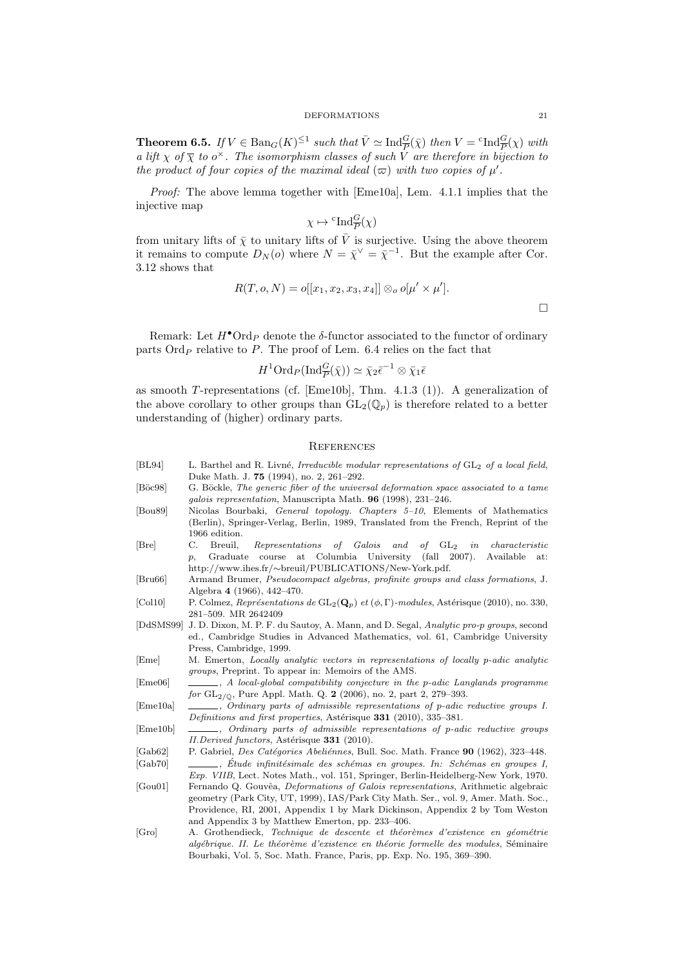**Theorem 6.5.** If  $V \in \text{Ban}_G(K)^{\leq 1}$  such that  $\overline{V} \simeq \text{Ind}_{\overline{P}}^G(\overline{\chi})$  then  $V = {}^c \text{Ind}_{\overline{P}}^G(\chi)$  with a lift  $\chi$  of  $\overline{\chi}$  to  $o^{\times}$ . The isomorphism classes of such  $\overline{V}$  are therefore in bijection to the product of four copies of the maximal ideal  $(\varpi)$  with two copies of  $\mu'$ .

Proof: The above lemma together with [Eme10a], Lem. 4.1.1 implies that the injective map

$$
\chi \mapsto {}^{\mathrm{c}} {\mathrm{Ind}}_{\overline{P}}^G(\chi)
$$

from unitary lifts of  $\bar{\chi}$  to unitary lifts of  $\bar{V}$  is surjective. Using the above theorem it remains to compute  $D_N(o)$  where  $N = \overline{\chi}^{\vee} = \overline{\chi}^{-1}$ . But the example after Cor. 3.12 shows that

$$
R(T, o, N) = o[[x_1, x_2, x_3, x_4]] \otimes_o o[\mu' \times \mu'].
$$

Remark: Let  $H^{\bullet} \text{Ord}_P$  denote the  $\delta$ -functor associated to the functor of ordinary parts  $\text{Ord}_P$  relative to P. The proof of Lem. 6.4 relies on the fact that

$$
H^1 \text{Ord}_P(\text{Ind}_{\overline{P}}^G(\overline{\chi})) \simeq \overline{\chi}_2 \overline{\epsilon}^{-1} \otimes \overline{\chi}_1 \overline{\epsilon}
$$

as smooth T-representations (cf. [Eme10b], Thm. 4.1.3 (1)). A generalization of the above corollary to other groups than  $GL_2(\mathbb{Q}_p)$  is therefore related to a better understanding of (higher) ordinary parts.

## **REFERENCES**

[BL94] L. Barthel and R. Livné, Irreducible modular representations of GL<sub>2</sub> of a local field, Duke Math. J. 75 (1994), no. 2, 261–292. [Böc98] G. Böckle, The generic fiber of the universal deformation space associated to a tame galois representation, Manuscripta Math. 96 (1998), 231–246. [Bou89] Nicolas Bourbaki, General topology. Chapters 5–10, Elements of Mathematics (Berlin), Springer-Verlag, Berlin, 1989, Translated from the French, Reprint of the 1966 edition. [Bre] C. Breuil, Representations of Galois and of GL<sup>2</sup> in characteristic p, Graduate course at Columbia University (fall 2007). Available at: http://www.ihes.fr/∼breuil/PUBLICATIONS/New-York.pdf. [Bru66] Armand Brumer, Pseudocompact algebras, profinite groups and class formations, J. Algebra 4 (1966), 442–470. [Col10] P. Colmez, Représentations de  $GL_2(Q_p)$  et  $(\phi, \Gamma)$ -modules, Astérisque (2010), no. 330, 281–509. MR 2642409 [DdSMS99] J. D. Dixon, M. P. F. du Sautoy, A. Mann, and D. Segal, Analytic pro-p groups, second ed., Cambridge Studies in Advanced Mathematics, vol. 61, Cambridge University Press, Cambridge, 1999. [Eme] M. Emerton, Locally analytic vectors in representations of locally p-adic analytic groups, Preprint. To appear in: Memoirs of the AMS. [Eme06] , A local-global compatibility conjecture in the p-adic Langlands programme for  $GL_{2/\mathbb{Q}}$ , Pure Appl. Math. Q. 2 (2006), no. 2, part 2, 279–393. [Eme10a]  $\quad \quad \_ \quad$ , Ordinary parts of admissible representations of p-adic reductive groups I. Definitions and first properties, Astérisque 331 (2010), 335-381. [Eme10b] , Ordinary parts of admissible representations of p-adic reductive groups II.Derived functors, Astérisque 331 (2010). [Gab62] P. Gabriel, *Des Catégories Abeliénnes*, Bull. Soc. Math. France 90 (1962), 323–448. [Gab70] , Étude infinitésimale des schémas en groupes. In: Schémas en groupes I, Exp. VIIB, Lect. Notes Math., vol. 151, Springer, Berlin-Heidelberg-New York, 1970. [Gou01] Fernando Q. Gouvêa, *Deformations of Galois representations*, Arithmetic algebraic geometry (Park City, UT, 1999), IAS/Park City Math. Ser., vol. 9, Amer. Math. Soc., Providence, RI, 2001, Appendix 1 by Mark Dickinson, Appendix 2 by Tom Weston and Appendix 3 by Matthew Emerton, pp. 233–406. [Gro] A. Grothendieck, Technique de descente et théorèmes d'existence en géométrie algébrique. II. Le théorème d'existence en théorie formelle des modules, Séminaire Bourbaki, Vol. 5, Soc. Math. France, Paris, pp. Exp. No. 195, 369–390.